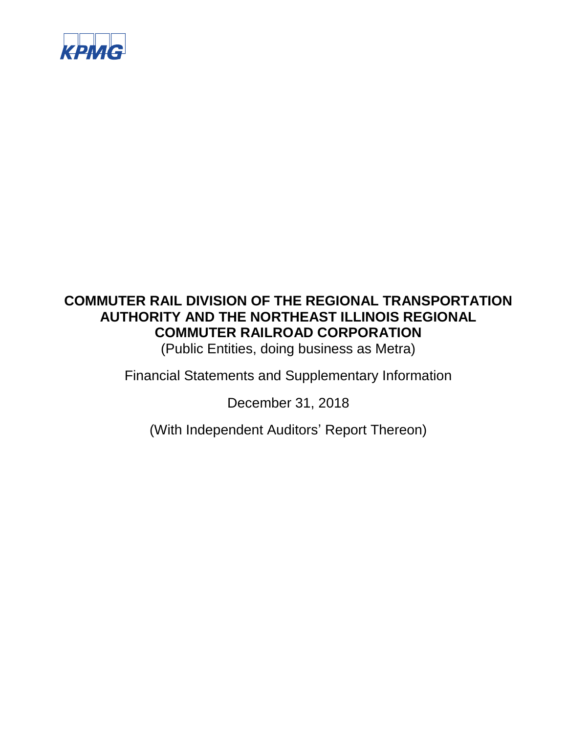

(Public Entities, doing business as Metra)

Financial Statements and Supplementary Information

December 31, 2018

(With Independent Auditors' Report Thereon)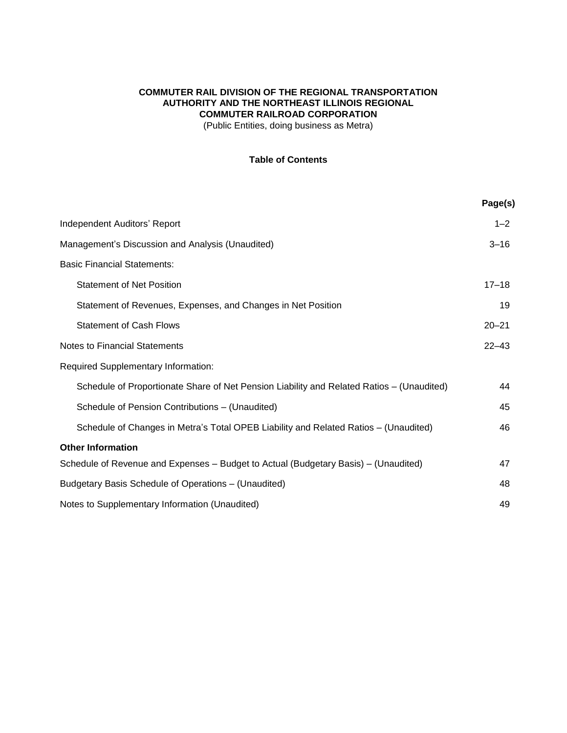(Public Entities, doing business as Metra)

# **Table of Contents**

|                                                                                           | Page(s)   |
|-------------------------------------------------------------------------------------------|-----------|
| Independent Auditors' Report                                                              | $1 - 2$   |
| Management's Discussion and Analysis (Unaudited)                                          | $3 - 16$  |
| <b>Basic Financial Statements:</b>                                                        |           |
| <b>Statement of Net Position</b>                                                          | $17 - 18$ |
| Statement of Revenues, Expenses, and Changes in Net Position                              | 19        |
| <b>Statement of Cash Flows</b>                                                            | $20 - 21$ |
| <b>Notes to Financial Statements</b>                                                      | $22 - 43$ |
| Required Supplementary Information:                                                       |           |
| Schedule of Proportionate Share of Net Pension Liability and Related Ratios - (Unaudited) | 44        |
| Schedule of Pension Contributions - (Unaudited)                                           | 45        |
| Schedule of Changes in Metra's Total OPEB Liability and Related Ratios - (Unaudited)      | 46        |
| <b>Other Information</b>                                                                  |           |
| Schedule of Revenue and Expenses - Budget to Actual (Budgetary Basis) - (Unaudited)       | 47        |
| Budgetary Basis Schedule of Operations - (Unaudited)                                      | 48        |
| Notes to Supplementary Information (Unaudited)                                            | 49        |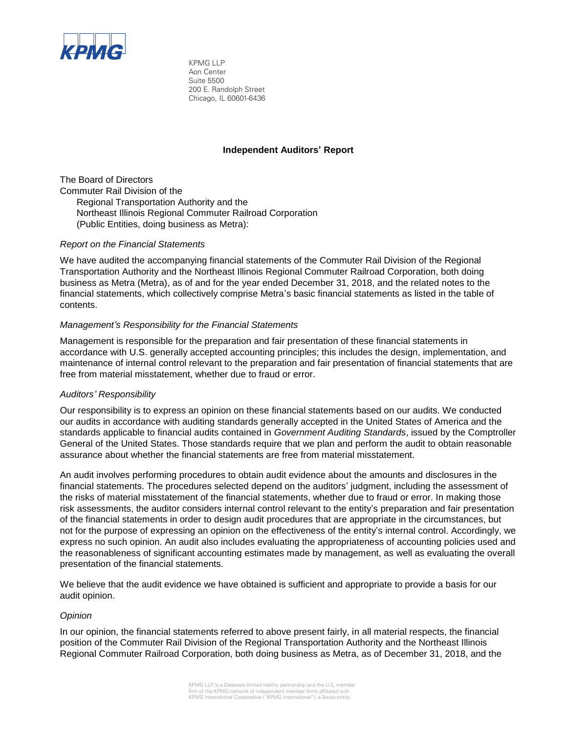

KPMG LLP Aon Center Suite 5500 200 E. Randolph Street Chicago, IL 60601-6436

## **Independent Auditors' Report**

The Board of Directors Commuter Rail Division of the Regional Transportation Authority and the Northeast Illinois Regional Commuter Railroad Corporation (Public Entities, doing business as Metra):

#### *Report on the Financial Statements*

We have audited the accompanying financial statements of the Commuter Rail Division of the Regional Transportation Authority and the Northeast Illinois Regional Commuter Railroad Corporation, both doing business as Metra (Metra), as of and for the year ended December 31, 2018, and the related notes to the financial statements, which collectively comprise Metra's basic financial statements as listed in the table of contents.

#### *Management's Responsibility for the Financial Statements*

Management is responsible for the preparation and fair presentation of these financial statements in accordance with U.S. generally accepted accounting principles; this includes the design, implementation, and maintenance of internal control relevant to the preparation and fair presentation of financial statements that are free from material misstatement, whether due to fraud or error.

#### *Auditors' Responsibility*

Our responsibility is to express an opinion on these financial statements based on our audits. We conducted our audits in accordance with auditing standards generally accepted in the United States of America and the standards applicable to financial audits contained in *Government Auditing Standards*, issued by the Comptroller General of the United States. Those standards require that we plan and perform the audit to obtain reasonable assurance about whether the financial statements are free from material misstatement.

An audit involves performing procedures to obtain audit evidence about the amounts and disclosures in the financial statements. The procedures selected depend on the auditors' judgment, including the assessment of the risks of material misstatement of the financial statements, whether due to fraud or error. In making those risk assessments, the auditor considers internal control relevant to the entity's preparation and fair presentation of the financial statements in order to design audit procedures that are appropriate in the circumstances, but not for the purpose of expressing an opinion on the effectiveness of the entity's internal control. Accordingly, we express no such opinion. An audit also includes evaluating the appropriateness of accounting policies used and the reasonableness of significant accounting estimates made by management, as well as evaluating the overall presentation of the financial statements.

We believe that the audit evidence we have obtained is sufficient and appropriate to provide a basis for our audit opinion.

#### *Opinion*

In our opinion, the financial statements referred to above present fairly, in all material respects, the financial position of the Commuter Rail Division of the Regional Transportation Authority and the Northeast Illinois Regional Commuter Railroad Corporation, both doing business as Metra, as of December 31, 2018, and the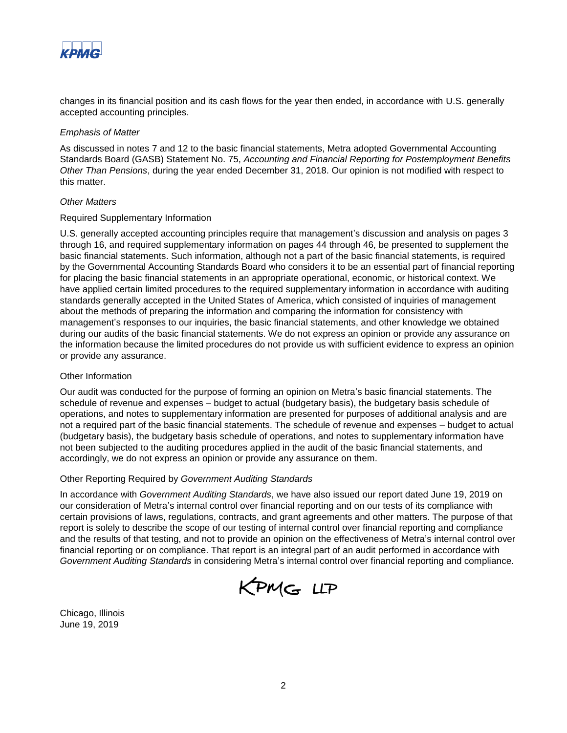

changes in its financial position and its cash flows for the year then ended, in accordance with U.S. generally accepted accounting principles.

#### *Emphasis of Matter*

As discussed in notes 7 and 12 to the basic financial statements, Metra adopted Governmental Accounting Standards Board (GASB) Statement No. 75, *Accounting and Financial Reporting for Postemployment Benefits Other Than Pensions*, during the year ended December 31, 2018. Our opinion is not modified with respect to this matter.

#### *Other Matters*

#### Required Supplementary Information

U.S. generally accepted accounting principles require that management's discussion and analysis on pages 3 through 16, and required supplementary information on pages 44 through 46, be presented to supplement the basic financial statements. Such information, although not a part of the basic financial statements, is required by the Governmental Accounting Standards Board who considers it to be an essential part of financial reporting for placing the basic financial statements in an appropriate operational, economic, or historical context. We have applied certain limited procedures to the required supplementary information in accordance with auditing standards generally accepted in the United States of America, which consisted of inquiries of management about the methods of preparing the information and comparing the information for consistency with management's responses to our inquiries, the basic financial statements, and other knowledge we obtained during our audits of the basic financial statements. We do not express an opinion or provide any assurance on the information because the limited procedures do not provide us with sufficient evidence to express an opinion or provide any assurance.

#### Other Information

Our audit was conducted for the purpose of forming an opinion on Metra's basic financial statements. The schedule of revenue and expenses – budget to actual (budgetary basis), the budgetary basis schedule of operations, and notes to supplementary information are presented for purposes of additional analysis and are not a required part of the basic financial statements. The schedule of revenue and expenses – budget to actual (budgetary basis), the budgetary basis schedule of operations, and notes to supplementary information have not been subjected to the auditing procedures applied in the audit of the basic financial statements, and accordingly, we do not express an opinion or provide any assurance on them.

#### Other Reporting Required by *Government Auditing Standards*

In accordance with *Government Auditing Standards*, we have also issued our report dated June 19, 2019 on our consideration of Metra's internal control over financial reporting and on our tests of its compliance with certain provisions of laws, regulations, contracts, and grant agreements and other matters. The purpose of that report is solely to describe the scope of our testing of internal control over financial reporting and compliance and the results of that testing, and not to provide an opinion on the effectiveness of Metra's internal control over financial reporting or on compliance. That report is an integral part of an audit performed in accordance with *Government Auditing Standards* in considering Metra's internal control over financial reporting and compliance.



Chicago, Illinois June 19, 2019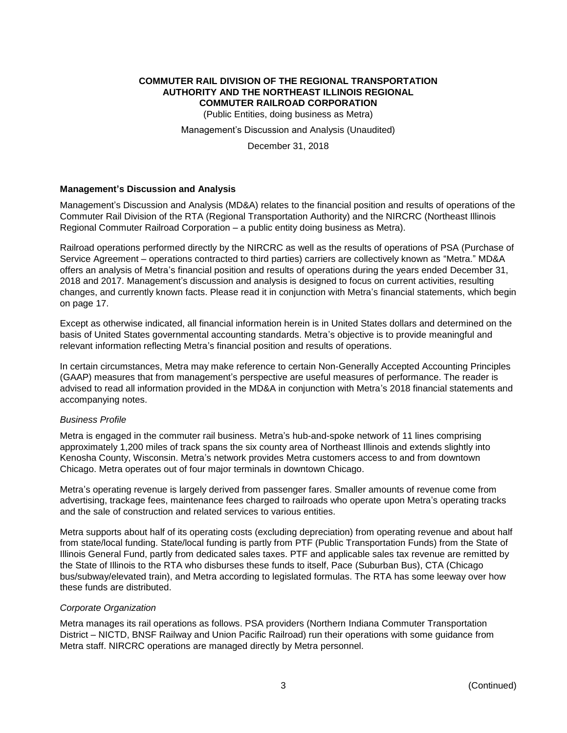(Public Entities, doing business as Metra)

Management's Discussion and Analysis (Unaudited)

December 31, 2018

#### **Management's Discussion and Analysis**

Management's Discussion and Analysis (MD&A) relates to the financial position and results of operations of the Commuter Rail Division of the RTA (Regional Transportation Authority) and the NIRCRC (Northeast Illinois Regional Commuter Railroad Corporation – a public entity doing business as Metra).

Railroad operations performed directly by the NIRCRC as well as the results of operations of PSA (Purchase of Service Agreement – operations contracted to third parties) carriers are collectively known as "Metra." MD&A offers an analysis of Metra's financial position and results of operations during the years ended December 31, 2018 and 2017. Management's discussion and analysis is designed to focus on current activities, resulting changes, and currently known facts. Please read it in conjunction with Metra's financial statements, which begin on page 17.

Except as otherwise indicated, all financial information herein is in United States dollars and determined on the basis of United States governmental accounting standards. Metra's objective is to provide meaningful and relevant information reflecting Metra's financial position and results of operations.

In certain circumstances, Metra may make reference to certain Non-Generally Accepted Accounting Principles (GAAP) measures that from management's perspective are useful measures of performance. The reader is advised to read all information provided in the MD&A in conjunction with Metra's 2018 financial statements and accompanying notes.

#### *Business Profile*

Metra is engaged in the commuter rail business. Metra's hub-and-spoke network of 11 lines comprising approximately 1,200 miles of track spans the six county area of Northeast Illinois and extends slightly into Kenosha County, Wisconsin. Metra's network provides Metra customers access to and from downtown Chicago. Metra operates out of four major terminals in downtown Chicago.

Metra's operating revenue is largely derived from passenger fares. Smaller amounts of revenue come from advertising, trackage fees, maintenance fees charged to railroads who operate upon Metra's operating tracks and the sale of construction and related services to various entities.

Metra supports about half of its operating costs (excluding depreciation) from operating revenue and about half from state/local funding. State/local funding is partly from PTF (Public Transportation Funds) from the State of Illinois General Fund, partly from dedicated sales taxes. PTF and applicable sales tax revenue are remitted by the State of Illinois to the RTA who disburses these funds to itself, Pace (Suburban Bus), CTA (Chicago bus/subway/elevated train), and Metra according to legislated formulas. The RTA has some leeway over how these funds are distributed.

#### *Corporate Organization*

Metra manages its rail operations as follows. PSA providers (Northern Indiana Commuter Transportation District – NICTD, BNSF Railway and Union Pacific Railroad) run their operations with some guidance from Metra staff. NIRCRC operations are managed directly by Metra personnel.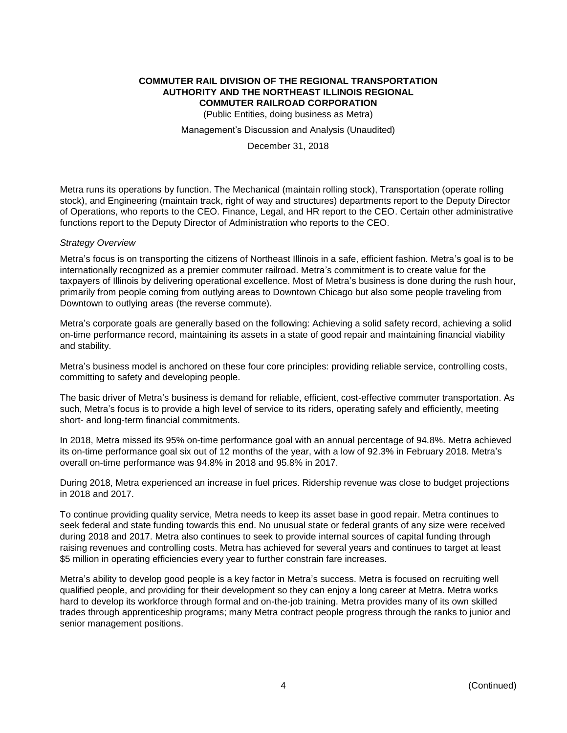(Public Entities, doing business as Metra)

Management's Discussion and Analysis (Unaudited)

December 31, 2018

Metra runs its operations by function. The Mechanical (maintain rolling stock), Transportation (operate rolling stock), and Engineering (maintain track, right of way and structures) departments report to the Deputy Director of Operations, who reports to the CEO. Finance, Legal, and HR report to the CEO. Certain other administrative functions report to the Deputy Director of Administration who reports to the CEO.

#### *Strategy Overview*

Metra's focus is on transporting the citizens of Northeast Illinois in a safe, efficient fashion. Metra's goal is to be internationally recognized as a premier commuter railroad. Metra's commitment is to create value for the taxpayers of Illinois by delivering operational excellence. Most of Metra's business is done during the rush hour, primarily from people coming from outlying areas to Downtown Chicago but also some people traveling from Downtown to outlying areas (the reverse commute).

Metra's corporate goals are generally based on the following: Achieving a solid safety record, achieving a solid on-time performance record, maintaining its assets in a state of good repair and maintaining financial viability and stability.

Metra's business model is anchored on these four core principles: providing reliable service, controlling costs, committing to safety and developing people.

The basic driver of Metra's business is demand for reliable, efficient, cost-effective commuter transportation. As such, Metra's focus is to provide a high level of service to its riders, operating safely and efficiently, meeting short- and long-term financial commitments.

In 2018, Metra missed its 95% on-time performance goal with an annual percentage of 94.8%. Metra achieved its on-time performance goal six out of 12 months of the year, with a low of 92.3% in February 2018. Metra's overall on-time performance was 94.8% in 2018 and 95.8% in 2017.

During 2018, Metra experienced an increase in fuel prices. Ridership revenue was close to budget projections in 2018 and 2017.

To continue providing quality service, Metra needs to keep its asset base in good repair. Metra continues to seek federal and state funding towards this end. No unusual state or federal grants of any size were received during 2018 and 2017. Metra also continues to seek to provide internal sources of capital funding through raising revenues and controlling costs. Metra has achieved for several years and continues to target at least \$5 million in operating efficiencies every year to further constrain fare increases.

Metra's ability to develop good people is a key factor in Metra's success. Metra is focused on recruiting well qualified people, and providing for their development so they can enjoy a long career at Metra. Metra works hard to develop its workforce through formal and on-the-job training. Metra provides many of its own skilled trades through apprenticeship programs; many Metra contract people progress through the ranks to junior and senior management positions.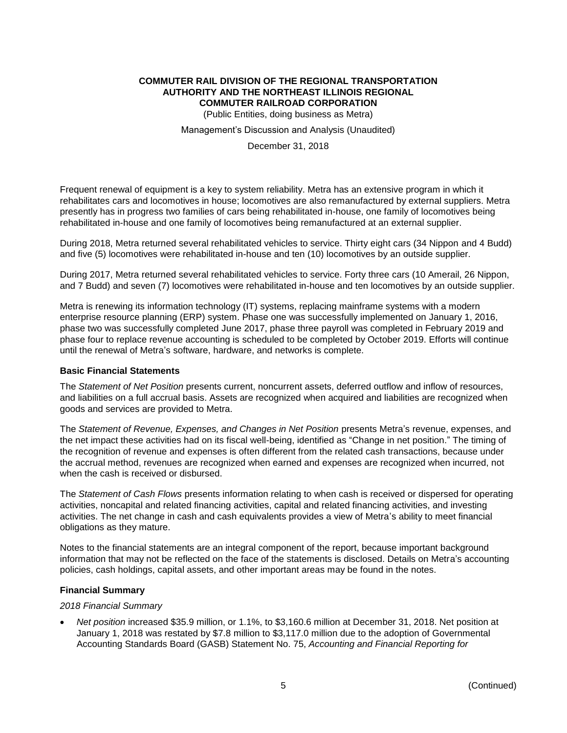(Public Entities, doing business as Metra)

Management's Discussion and Analysis (Unaudited)

December 31, 2018

Frequent renewal of equipment is a key to system reliability. Metra has an extensive program in which it rehabilitates cars and locomotives in house; locomotives are also remanufactured by external suppliers. Metra presently has in progress two families of cars being rehabilitated in-house, one family of locomotives being rehabilitated in-house and one family of locomotives being remanufactured at an external supplier.

During 2018, Metra returned several rehabilitated vehicles to service. Thirty eight cars (34 Nippon and 4 Budd) and five (5) locomotives were rehabilitated in-house and ten (10) locomotives by an outside supplier.

During 2017, Metra returned several rehabilitated vehicles to service. Forty three cars (10 Amerail, 26 Nippon, and 7 Budd) and seven (7) locomotives were rehabilitated in-house and ten locomotives by an outside supplier.

Metra is renewing its information technology (IT) systems, replacing mainframe systems with a modern enterprise resource planning (ERP) system. Phase one was successfully implemented on January 1, 2016, phase two was successfully completed June 2017, phase three payroll was completed in February 2019 and phase four to replace revenue accounting is scheduled to be completed by October 2019. Efforts will continue until the renewal of Metra's software, hardware, and networks is complete.

#### **Basic Financial Statements**

The *Statement of Net Position* presents current, noncurrent assets, deferred outflow and inflow of resources, and liabilities on a full accrual basis. Assets are recognized when acquired and liabilities are recognized when goods and services are provided to Metra.

The *Statement of Revenue, Expenses, and Changes in Net Position* presents Metra's revenue, expenses, and the net impact these activities had on its fiscal well-being, identified as "Change in net position." The timing of the recognition of revenue and expenses is often different from the related cash transactions, because under the accrual method, revenues are recognized when earned and expenses are recognized when incurred, not when the cash is received or disbursed.

The *Statement of Cash Flows* presents information relating to when cash is received or dispersed for operating activities, noncapital and related financing activities, capital and related financing activities, and investing activities. The net change in cash and cash equivalents provides a view of Metra's ability to meet financial obligations as they mature.

Notes to the financial statements are an integral component of the report, because important background information that may not be reflected on the face of the statements is disclosed. Details on Metra's accounting policies, cash holdings, capital assets, and other important areas may be found in the notes.

#### **Financial Summary**

#### *2018 Financial Summary*

 *Net position* increased \$35.9 million, or 1.1%, to \$3,160.6 million at December 31, 2018. Net position at January 1, 2018 was restated by \$7.8 million to \$3,117.0 million due to the adoption of Governmental Accounting Standards Board (GASB) Statement No. 75, *Accounting and Financial Reporting for*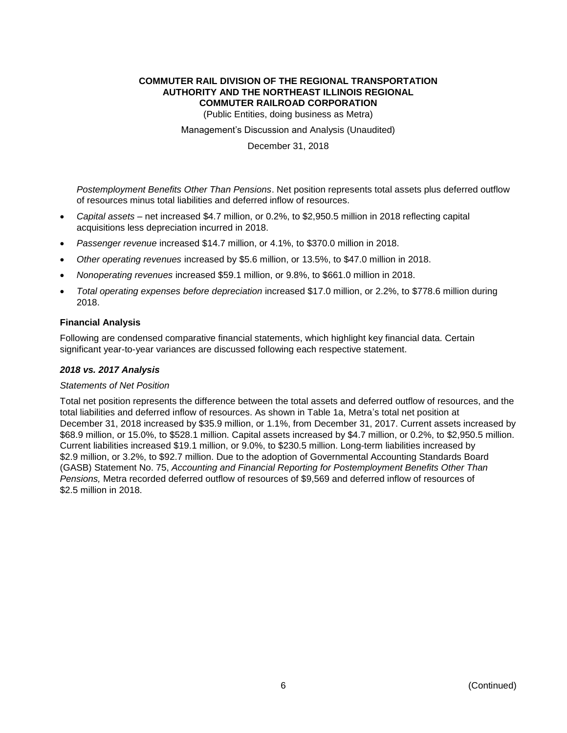(Public Entities, doing business as Metra)

Management's Discussion and Analysis (Unaudited)

December 31, 2018

*Postemployment Benefits Other Than Pensions*. Net position represents total assets plus deferred outflow of resources minus total liabilities and deferred inflow of resources.

- *Capital assets* net increased \$4.7 million, or 0.2%, to \$2,950.5 million in 2018 reflecting capital acquisitions less depreciation incurred in 2018.
- *Passenger revenue* increased \$14.7 million, or 4.1%, to \$370.0 million in 2018.
- *Other operating revenues* increased by \$5.6 million, or 13.5%, to \$47.0 million in 2018.
- *Nonoperating revenues* increased \$59.1 million, or 9.8%, to \$661.0 million in 2018.
- *Total operating expenses before depreciation* increased \$17.0 million, or 2.2%, to \$778.6 million during 2018.

#### **Financial Analysis**

Following are condensed comparative financial statements, which highlight key financial data. Certain significant year-to-year variances are discussed following each respective statement.

#### *2018 vs. 2017 Analysis*

#### *Statements of Net Position*

Total net position represents the difference between the total assets and deferred outflow of resources, and the total liabilities and deferred inflow of resources. As shown in Table 1a, Metra's total net position at December 31, 2018 increased by \$35.9 million, or 1.1%, from December 31, 2017. Current assets increased by \$68.9 million, or 15.0%, to \$528.1 million. Capital assets increased by \$4.7 million, or 0.2%, to \$2,950.5 million. Current liabilities increased \$19.1 million, or 9.0%, to \$230.5 million. Long-term liabilities increased by \$2.9 million, or 3.2%, to \$92.7 million. Due to the adoption of Governmental Accounting Standards Board (GASB) Statement No. 75, *Accounting and Financial Reporting for Postemployment Benefits Other Than Pensions,* Metra recorded deferred outflow of resources of \$9,569 and deferred inflow of resources of \$2.5 million in 2018.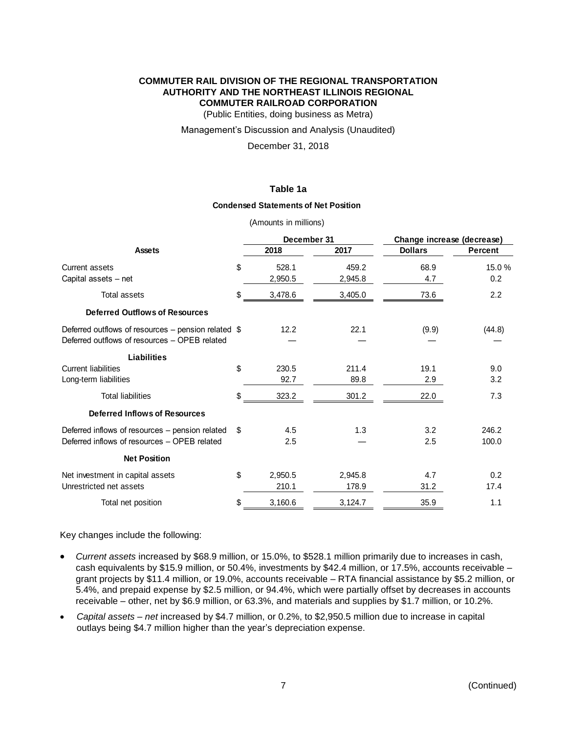(Public Entities, doing business as Metra)

Management's Discussion and Analysis (Unaudited)

December 31, 2018

## **Table 1a**

#### **Condensed Statements of Net Position**

| (Amounts in millions) |  |  |
|-----------------------|--|--|
|                       |  |  |

|                                                     |    | December 31 |         | Change increase (decrease) |                |
|-----------------------------------------------------|----|-------------|---------|----------------------------|----------------|
| <b>Assets</b>                                       |    | 2018        | 2017    | <b>Dollars</b>             | <b>Percent</b> |
| <b>Current assets</b>                               | \$ | 528.1       | 459.2   | 68.9                       | 15.0 %         |
| Capital assets - net                                |    | 2,950.5     | 2,945.8 | 4.7                        | 0.2            |
| Total assets                                        | \$ | 3,478.6     | 3,405.0 | 73.6                       | 2.2            |
| <b>Deferred Outflows of Resources</b>               |    |             |         |                            |                |
| Deferred outflows of resources – pension related \$ |    | 12.2        | 22.1    | (9.9)                      | (44.8)         |
| Deferred outflows of resources - OPEB related       |    |             |         |                            |                |
| <b>Liabilities</b>                                  |    |             |         |                            |                |
| <b>Current liabilities</b>                          | \$ | 230.5       | 211.4   | 19.1                       | 9.0            |
| Long-term liabilities                               |    | 92.7        | 89.8    | 2.9                        | 3.2            |
| <b>Total liabilities</b>                            | \$ | 323.2       | 301.2   | 22.0                       | 7.3            |
| <b>Deferred Inflows of Resources</b>                |    |             |         |                            |                |
| Deferred inflows of resources – pension related     | \$ | 4.5         | 1.3     | 3.2                        | 246.2          |
| Deferred inflows of resources - OPEB related        |    | 2.5         |         | 2.5                        | 100.0          |
| <b>Net Position</b>                                 |    |             |         |                            |                |
| Net investment in capital assets                    | \$ | 2,950.5     | 2,945.8 | 4.7                        | 0.2            |
| Unrestricted net assets                             |    | 210.1       | 178.9   | 31.2                       | 17.4           |
| Total net position                                  | \$ | 3,160.6     | 3,124.7 | 35.9                       | 1.1            |

Key changes include the following:

- *Current assets* increased by \$68.9 million, or 15.0%, to \$528.1 million primarily due to increases in cash, cash equivalents by \$15.9 million, or 50.4%, investments by \$42.4 million, or 17.5%, accounts receivable – grant projects by \$11.4 million, or 19.0%, accounts receivable – RTA financial assistance by \$5.2 million, or 5.4%, and prepaid expense by \$2.5 million, or 94.4%, which were partially offset by decreases in accounts receivable – other, net by \$6.9 million, or 63.3%, and materials and supplies by \$1.7 million, or 10.2%.
- *Capital assets – net* increased by \$4.7 million, or 0.2%, to \$2,950.5 million due to increase in capital outlays being \$4.7 million higher than the year's depreciation expense.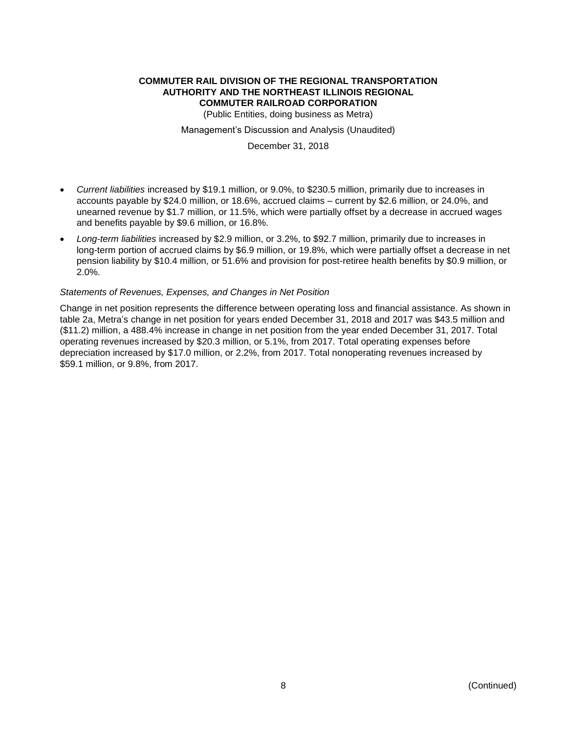(Public Entities, doing business as Metra)

Management's Discussion and Analysis (Unaudited)

December 31, 2018

- *Current liabilities* increased by \$19.1 million, or 9.0%, to \$230.5 million, primarily due to increases in accounts payable by \$24.0 million, or 18.6%, accrued claims – current by \$2.6 million, or 24.0%, and unearned revenue by \$1.7 million, or 11.5%, which were partially offset by a decrease in accrued wages and benefits payable by \$9.6 million, or 16.8%.
- *Long-term liabilities* increased by \$2.9 million, or 3.2%, to \$92.7 million, primarily due to increases in long-term portion of accrued claims by \$6.9 million, or 19.8%, which were partially offset a decrease in net pension liability by \$10.4 million, or 51.6% and provision for post-retiree health benefits by \$0.9 million, or 2.0%.

## *Statements of Revenues, Expenses, and Changes in Net Position*

Change in net position represents the difference between operating loss and financial assistance. As shown in table 2a, Metra's change in net position for years ended December 31, 2018 and 2017 was \$43.5 million and (\$11.2) million, a 488.4% increase in change in net position from the year ended December 31, 2017. Total operating revenues increased by \$20.3 million, or 5.1%, from 2017. Total operating expenses before depreciation increased by \$17.0 million, or 2.2%, from 2017. Total nonoperating revenues increased by \$59.1 million, or 9.8%, from 2017.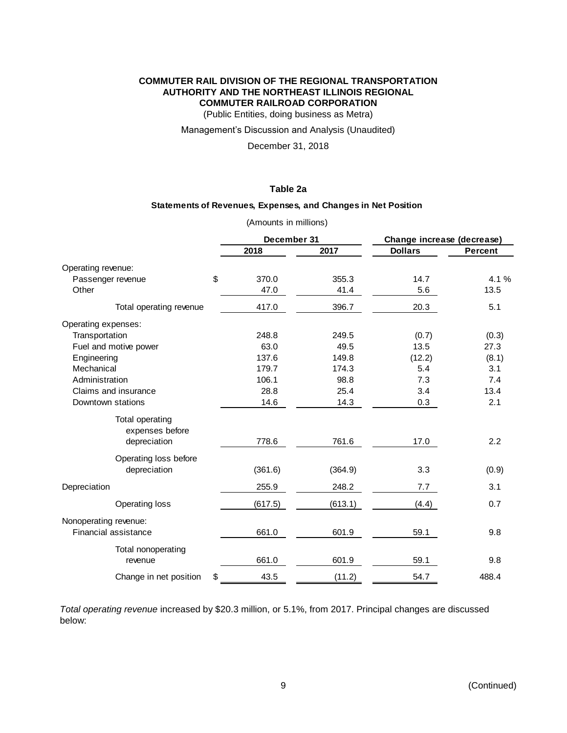(Public Entities, doing business as Metra)

#### Management's Discussion and Analysis (Unaudited)

December 31, 2018

# **Table 2a**

#### **Statements of Revenues, Expenses, and Changes in Net Position**

|                                    | December 31 |         | Change increase (decrease) |                |
|------------------------------------|-------------|---------|----------------------------|----------------|
|                                    | 2018        | 2017    | <b>Dollars</b>             | <b>Percent</b> |
| Operating revenue:                 |             |         |                            |                |
| Passenger revenue                  | \$<br>370.0 | 355.3   | 14.7                       | 4.1 %          |
| Other                              | 47.0        | 41.4    | 5.6                        | 13.5           |
| Total operating revenue            | 417.0       | 396.7   | 20.3                       | 5.1            |
| Operating expenses:                |             |         |                            |                |
| Transportation                     | 248.8       | 249.5   | (0.7)                      | (0.3)          |
| Fuel and motive power              | 63.0        | 49.5    | 13.5                       | 27.3           |
| Engineering                        | 137.6       | 149.8   | (12.2)                     | (8.1)          |
| Mechanical                         | 179.7       | 174.3   | 5.4                        | 3.1            |
| Administration                     | 106.1       | 98.8    | 7.3                        | 7.4            |
| Claims and insurance               | 28.8        | 25.4    | 3.4                        | 13.4           |
| Downtown stations                  | 14.6        | 14.3    | 0.3                        | 2.1            |
| Total operating<br>expenses before |             |         |                            |                |
| depreciation                       | 778.6       | 761.6   | 17.0                       | 2.2            |
| Operating loss before              |             |         |                            |                |
| depreciation                       | (361.6)     | (364.9) | 3.3                        | (0.9)          |
| Depreciation                       | 255.9       | 248.2   | 7.7                        | 3.1            |
| Operating loss                     | (617.5)     | (613.1) | (4.4)                      | 0.7            |
| Nonoperating revenue:              |             |         |                            |                |
| Financial assistance               | 661.0       | 601.9   | 59.1                       | 9.8            |
| Total nonoperating                 |             |         |                            |                |
| revenue                            | 661.0       | 601.9   | 59.1                       | 9.8            |
| Change in net position             | \$<br>43.5  | (11.2)  | 54.7                       | 488.4          |

(Amounts in millions)

*Total operating revenue* increased by \$20.3 million, or 5.1%, from 2017. Principal changes are discussed below: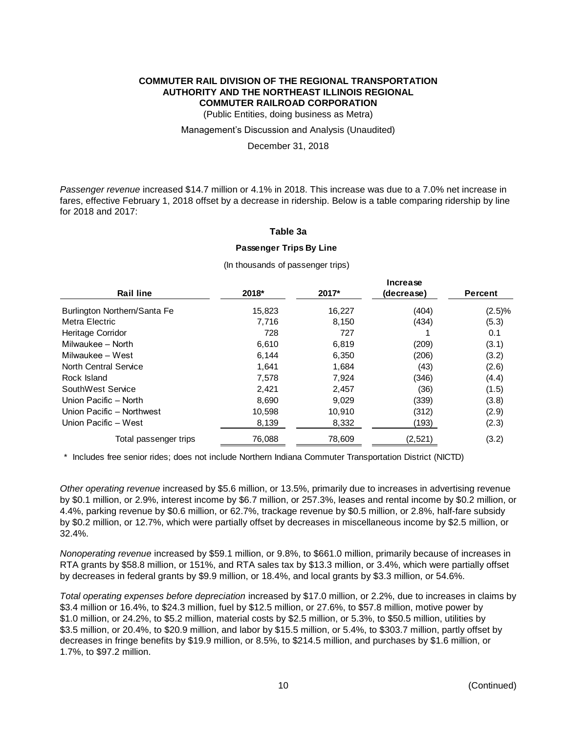(Public Entities, doing business as Metra)

#### Management's Discussion and Analysis (Unaudited)

December 31, 2018

*Passenger revenue* increased \$14.7 million or 4.1% in 2018. This increase was due to a 7.0% net increase in fares, effective February 1, 2018 offset by a decrease in ridership. Below is a table comparing ridership by line for 2018 and 2017:

#### **Table 3a**

#### **Passenger Trips By Line**

(In thousands of passenger trips)

|                              |        |        | Increase   |         |
|------------------------------|--------|--------|------------|---------|
| <b>Rail line</b>             | 2018*  | 2017*  | (decrease) | Percent |
| Burlington Northern/Santa Fe | 15,823 | 16,227 | (404)      | (2.5)%  |
| Metra Electric               | 7,716  | 8,150  | (434)      | (5.3)   |
| Heritage Corridor            | 728    | 727    |            | 0.1     |
| Milwaukee - North            | 6,610  | 6,819  | (209)      | (3.1)   |
| Milwaukee – West             | 6,144  | 6,350  | (206)      | (3.2)   |
| <b>North Central Service</b> | 1.641  | 1,684  | (43)       | (2.6)   |
| Rock Island                  | 7,578  | 7,924  | (346)      | (4.4)   |
| SouthWest Service            | 2,421  | 2,457  | (36)       | (1.5)   |
| Union Pacific - North        | 8,690  | 9,029  | (339)      | (3.8)   |
| Union Pacific - Northwest    | 10,598 | 10,910 | (312)      | (2.9)   |
| Union Pacific - West         | 8,139  | 8,332  | (193)      | (2.3)   |
| Total passenger trips        | 76,088 | 78,609 | (2,521)    | (3.2)   |

\* Includes free senior rides; does not include Northern Indiana Commuter Transportation District (NICTD)

*Other operating revenue* increased by \$5.6 million, or 13.5%, primarily due to increases in advertising revenue by \$0.1 million, or 2.9%, interest income by \$6.7 million, or 257.3%, leases and rental income by \$0.2 million, or 4.4%, parking revenue by \$0.6 million, or 62.7%, trackage revenue by \$0.5 million, or 2.8%, half-fare subsidy by \$0.2 million, or 12.7%, which were partially offset by decreases in miscellaneous income by \$2.5 million, or 32.4%.

*Nonoperating revenue* increased by \$59.1 million, or 9.8%, to \$661.0 million, primarily because of increases in RTA grants by \$58.8 million, or 151%, and RTA sales tax by \$13.3 million, or 3.4%, which were partially offset by decreases in federal grants by \$9.9 million, or 18.4%, and local grants by \$3.3 million, or 54.6%.

*Total operating expenses before depreciation* increased by \$17.0 million, or 2.2%, due to increases in claims by \$3.4 million or 16.4%, to \$24.3 million, fuel by \$12.5 million, or 27.6%, to \$57.8 million, motive power by \$1.0 million, or 24.2%, to \$5.2 million, material costs by \$2.5 million, or 5.3%, to \$50.5 million, utilities by \$3.5 million, or 20.4%, to \$20.9 million, and labor by \$15.5 million, or 5.4%, to \$303.7 million, partly offset by decreases in fringe benefits by \$19.9 million, or 8.5%, to \$214.5 million, and purchases by \$1.6 million, or 1.7%, to \$97.2 million.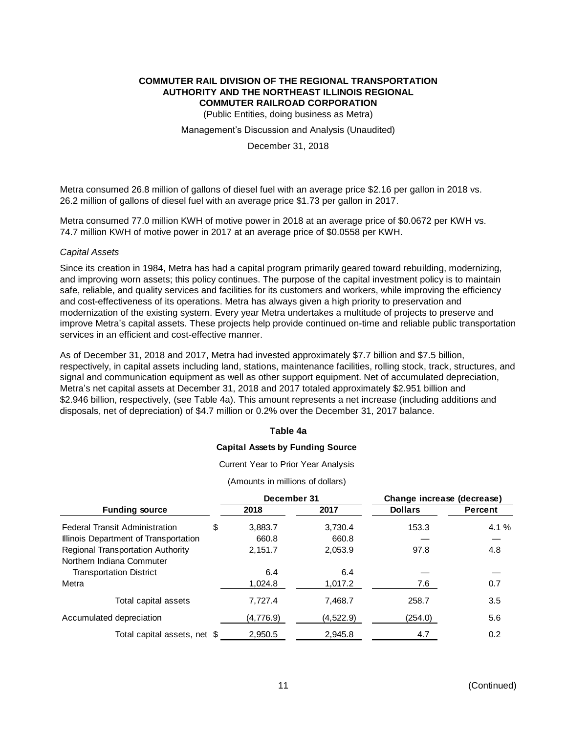(Public Entities, doing business as Metra)

Management's Discussion and Analysis (Unaudited)

December 31, 2018

Metra consumed 26.8 million of gallons of diesel fuel with an average price \$2.16 per gallon in 2018 vs. 26.2 million of gallons of diesel fuel with an average price \$1.73 per gallon in 2017.

Metra consumed 77.0 million KWH of motive power in 2018 at an average price of \$0.0672 per KWH vs. 74.7 million KWH of motive power in 2017 at an average price of \$0.0558 per KWH.

#### *Capital Assets*

Since its creation in 1984, Metra has had a capital program primarily geared toward rebuilding, modernizing, and improving worn assets; this policy continues. The purpose of the capital investment policy is to maintain safe, reliable, and quality services and facilities for its customers and workers, while improving the efficiency and cost-effectiveness of its operations. Metra has always given a high priority to preservation and modernization of the existing system. Every year Metra undertakes a multitude of projects to preserve and improve Metra's capital assets. These projects help provide continued on-time and reliable public transportation services in an efficient and cost-effective manner.

As of December 31, 2018 and 2017, Metra had invested approximately \$7.7 billion and \$7.5 billion, respectively, in capital assets including land, stations, maintenance facilities, rolling stock, track, structures, and signal and communication equipment as well as other support equipment. Net of accumulated depreciation, Metra's net capital assets at December 31, 2018 and 2017 totaled approximately \$2.951 billion and \$2.946 billion, respectively, (see Table 4a). This amount represents a net increase (including additions and disposals, net of depreciation) of \$4.7 million or 0.2% over the December 31, 2017 balance.

#### **Table 4a**

#### **Capital Assets by Funding Source**

Current Year to Prior Year Analysis

(Amounts in millions of dollars)

|                                             | December 31 |           |                | Change increase (decrease) |
|---------------------------------------------|-------------|-----------|----------------|----------------------------|
| <b>Funding source</b>                       | 2018        | 2017      | <b>Dollars</b> | <b>Percent</b>             |
| \$<br><b>Federal Transit Administration</b> | 3.883.7     | 3.730.4   | 153.3          | 4.1%                       |
| Illinois Department of Transportation       | 660.8       | 660.8     |                |                            |
| <b>Regional Transportation Authority</b>    | 2,151.7     | 2,053.9   | 97.8           | 4.8                        |
| Northern Indiana Commuter                   |             |           |                |                            |
| <b>Transportation District</b>              | 6.4         | 6.4       |                |                            |
| Metra                                       | 1,024.8     | 1,017.2   | 7.6            | 0.7                        |
| Total capital assets                        | 7.727.4     | 7.468.7   | 258.7          | 3.5                        |
| Accumulated depreciation                    | (4,776.9)   | (4,522.9) | (254.0)        | 5.6                        |
| Total capital assets, net \$                | 2.950.5     | 2.945.8   | 4.7            | 0.2                        |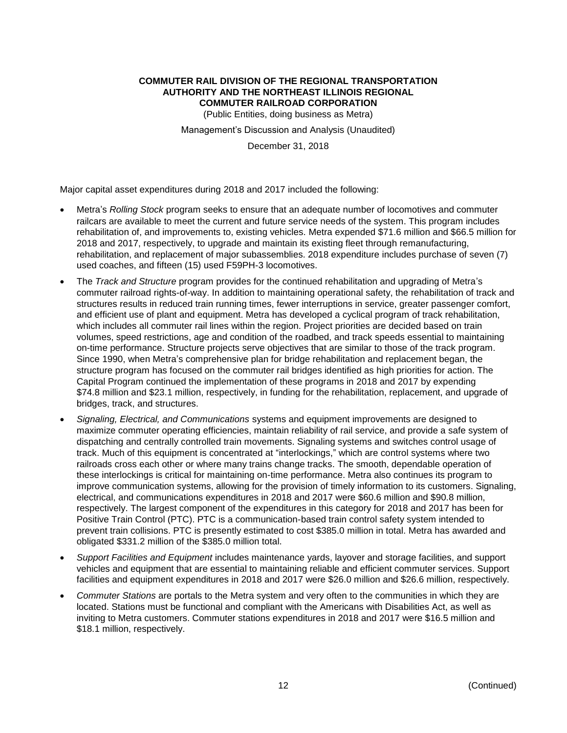(Public Entities, doing business as Metra)

Management's Discussion and Analysis (Unaudited)

December 31, 2018

Major capital asset expenditures during 2018 and 2017 included the following:

- Metra's *Rolling Stock* program seeks to ensure that an adequate number of locomotives and commuter railcars are available to meet the current and future service needs of the system. This program includes rehabilitation of, and improvements to, existing vehicles. Metra expended \$71.6 million and \$66.5 million for 2018 and 2017, respectively, to upgrade and maintain its existing fleet through remanufacturing, rehabilitation, and replacement of major subassemblies. 2018 expenditure includes purchase of seven (7) used coaches, and fifteen (15) used F59PH-3 locomotives.
- The *Track and Structure* program provides for the continued rehabilitation and upgrading of Metra's commuter railroad rights-of-way. In addition to maintaining operational safety, the rehabilitation of track and structures results in reduced train running times, fewer interruptions in service, greater passenger comfort, and efficient use of plant and equipment. Metra has developed a cyclical program of track rehabilitation, which includes all commuter rail lines within the region. Project priorities are decided based on train volumes, speed restrictions, age and condition of the roadbed, and track speeds essential to maintaining on-time performance. Structure projects serve objectives that are similar to those of the track program. Since 1990, when Metra's comprehensive plan for bridge rehabilitation and replacement began, the structure program has focused on the commuter rail bridges identified as high priorities for action. The Capital Program continued the implementation of these programs in 2018 and 2017 by expending \$74.8 million and \$23.1 million, respectively, in funding for the rehabilitation, replacement, and upgrade of bridges, track, and structures.
- *Signaling, Electrical, and Communications* systems and equipment improvements are designed to maximize commuter operating efficiencies, maintain reliability of rail service, and provide a safe system of dispatching and centrally controlled train movements. Signaling systems and switches control usage of track. Much of this equipment is concentrated at "interlockings," which are control systems where two railroads cross each other or where many trains change tracks. The smooth, dependable operation of these interlockings is critical for maintaining on-time performance. Metra also continues its program to improve communication systems, allowing for the provision of timely information to its customers. Signaling, electrical, and communications expenditures in 2018 and 2017 were \$60.6 million and \$90.8 million, respectively. The largest component of the expenditures in this category for 2018 and 2017 has been for Positive Train Control (PTC). PTC is a communication-based train control safety system intended to prevent train collisions. PTC is presently estimated to cost \$385.0 million in total. Metra has awarded and obligated \$331.2 million of the \$385.0 million total.
- *Support Facilities and Equipment* includes maintenance yards, layover and storage facilities, and support vehicles and equipment that are essential to maintaining reliable and efficient commuter services. Support facilities and equipment expenditures in 2018 and 2017 were \$26.0 million and \$26.6 million, respectively.
- *Commuter Stations* are portals to the Metra system and very often to the communities in which they are located. Stations must be functional and compliant with the Americans with Disabilities Act, as well as inviting to Metra customers. Commuter stations expenditures in 2018 and 2017 were \$16.5 million and \$18.1 million, respectively.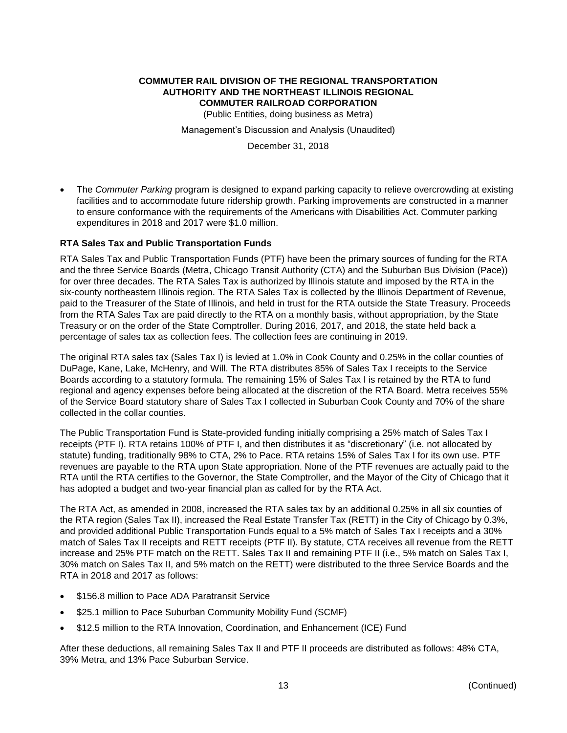(Public Entities, doing business as Metra)

Management's Discussion and Analysis (Unaudited)

December 31, 2018

 The *Commuter Parking* program is designed to expand parking capacity to relieve overcrowding at existing facilities and to accommodate future ridership growth. Parking improvements are constructed in a manner to ensure conformance with the requirements of the Americans with Disabilities Act. Commuter parking expenditures in 2018 and 2017 were \$1.0 million.

## **RTA Sales Tax and Public Transportation Funds**

RTA Sales Tax and Public Transportation Funds (PTF) have been the primary sources of funding for the RTA and the three Service Boards (Metra, Chicago Transit Authority (CTA) and the Suburban Bus Division (Pace)) for over three decades. The RTA Sales Tax is authorized by Illinois statute and imposed by the RTA in the six-county northeastern Illinois region. The RTA Sales Tax is collected by the Illinois Department of Revenue, paid to the Treasurer of the State of Illinois, and held in trust for the RTA outside the State Treasury. Proceeds from the RTA Sales Tax are paid directly to the RTA on a monthly basis, without appropriation, by the State Treasury or on the order of the State Comptroller. During 2016, 2017, and 2018, the state held back a percentage of sales tax as collection fees. The collection fees are continuing in 2019.

The original RTA sales tax (Sales Tax I) is levied at 1.0% in Cook County and 0.25% in the collar counties of DuPage, Kane, Lake, McHenry, and Will. The RTA distributes 85% of Sales Tax I receipts to the Service Boards according to a statutory formula. The remaining 15% of Sales Tax I is retained by the RTA to fund regional and agency expenses before being allocated at the discretion of the RTA Board. Metra receives 55% of the Service Board statutory share of Sales Tax I collected in Suburban Cook County and 70% of the share collected in the collar counties.

The Public Transportation Fund is State-provided funding initially comprising a 25% match of Sales Tax I receipts (PTF I). RTA retains 100% of PTF I, and then distributes it as "discretionary" (i.e. not allocated by statute) funding, traditionally 98% to CTA, 2% to Pace. RTA retains 15% of Sales Tax I for its own use. PTF revenues are payable to the RTA upon State appropriation. None of the PTF revenues are actually paid to the RTA until the RTA certifies to the Governor, the State Comptroller, and the Mayor of the City of Chicago that it has adopted a budget and two-year financial plan as called for by the RTA Act.

The RTA Act, as amended in 2008, increased the RTA sales tax by an additional 0.25% in all six counties of the RTA region (Sales Tax II), increased the Real Estate Transfer Tax (RETT) in the City of Chicago by 0.3%, and provided additional Public Transportation Funds equal to a 5% match of Sales Tax I receipts and a 30% match of Sales Tax II receipts and RETT receipts (PTF II). By statute, CTA receives all revenue from the RETT increase and 25% PTF match on the RETT. Sales Tax II and remaining PTF II (i.e., 5% match on Sales Tax I, 30% match on Sales Tax II, and 5% match on the RETT) were distributed to the three Service Boards and the RTA in 2018 and 2017 as follows:

- \$156.8 million to Pace ADA Paratransit Service
- \$25.1 million to Pace Suburban Community Mobility Fund (SCMF)
- \$12.5 million to the RTA Innovation, Coordination, and Enhancement (ICE) Fund

After these deductions, all remaining Sales Tax II and PTF II proceeds are distributed as follows: 48% CTA, 39% Metra, and 13% Pace Suburban Service.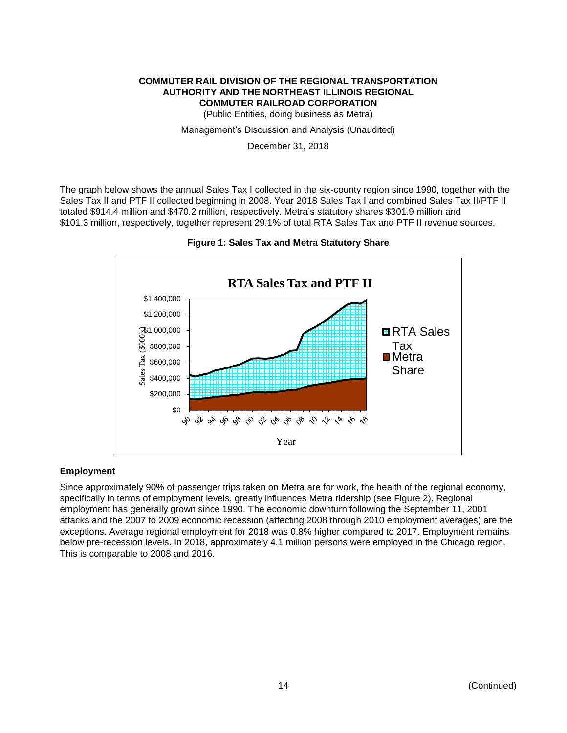(Public Entities, doing business as Metra)

Management's Discussion and Analysis (Unaudited)

December 31, 2018

The graph below shows the annual Sales Tax I collected in the six-county region since 1990, together with the Sales Tax II and PTF II collected beginning in 2008. Year 2018 Sales Tax I and combined Sales Tax II/PTF II totaled \$914.4 million and \$470.2 million, respectively. Metra's statutory shares \$301.9 million and \$101.3 million, respectively, together represent 29.1% of total RTA Sales Tax and PTF II revenue sources.



#### **Figure 1: Sales Tax and Metra Statutory Share**

#### **Employment**

Since approximately 90% of passenger trips taken on Metra are for work, the health of the regional economy, specifically in terms of employment levels, greatly influences Metra ridership (see Figure 2). Regional employment has generally grown since 1990. The economic downturn following the September 11, 2001 attacks and the 2007 to 2009 economic recession (affecting 2008 through 2010 employment averages) are the exceptions. Average regional employment for 2018 was 0.8% higher compared to 2017. Employment remains below pre-recession levels. In 2018, approximately 4.1 million persons were employed in the Chicago region. This is comparable to 2008 and 2016.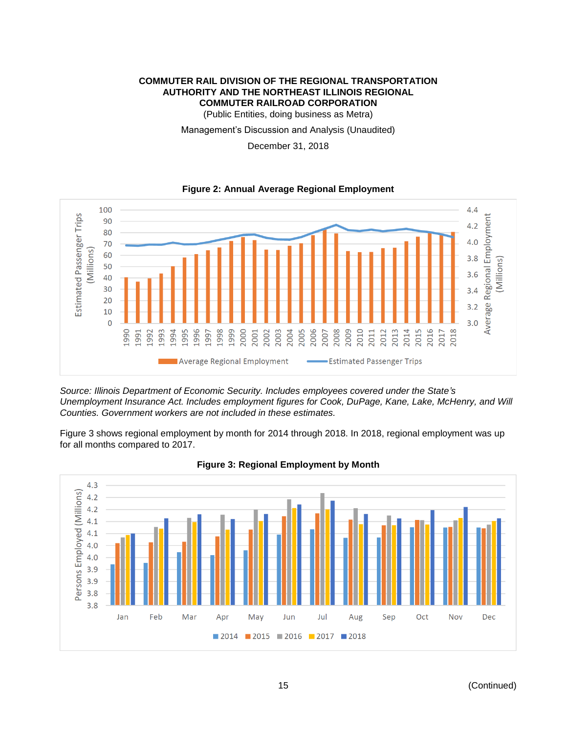(Public Entities, doing business as Metra)

Management's Discussion and Analysis (Unaudited)

December 31, 2018

## **Figure 2: Annual Average Regional Employment**



*Source: Illinois Department of Economic Security. Includes employees covered under the State's Unemployment Insurance Act. Includes employment figures for Cook, DuPage, Kane, Lake, McHenry, and Will Counties. Government workers are not included in these estimates.*

Figure 3 shows regional employment by month for 2014 through 2018. In 2018, regional employment was up for all months compared to 2017.



**Figure 3: Regional Employment by Month**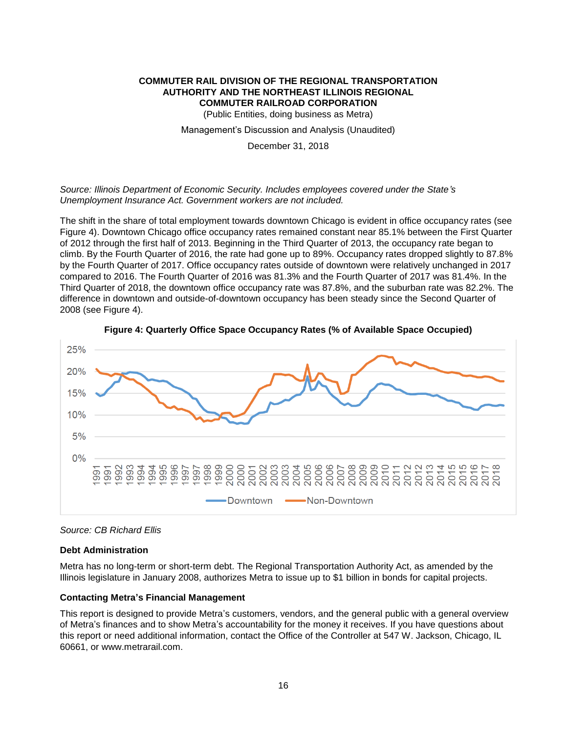(Public Entities, doing business as Metra)

Management's Discussion and Analysis (Unaudited)

December 31, 2018

## *Source: Illinois Department of Economic Security. Includes employees covered under the State's Unemployment Insurance Act. Government workers are not included.*

The shift in the share of total employment towards downtown Chicago is evident in office occupancy rates (see Figure 4). Downtown Chicago office occupancy rates remained constant near 85.1% between the First Quarter of 2012 through the first half of 2013. Beginning in the Third Quarter of 2013, the occupancy rate began to climb. By the Fourth Quarter of 2016, the rate had gone up to 89%. Occupancy rates dropped slightly to 87.8% by the Fourth Quarter of 2017. Office occupancy rates outside of downtown were relatively unchanged in 2017 compared to 2016. The Fourth Quarter of 2016 was 81.3% and the Fourth Quarter of 2017 was 81.4%. In the Third Quarter of 2018, the downtown office occupancy rate was 87.8%, and the suburban rate was 82.2%. The difference in downtown and outside-of-downtown occupancy has been steady since the Second Quarter of 2008 (see Figure 4).





#### *Source: CB Richard Ellis*

#### **Debt Administration**

Metra has no long-term or short-term debt. The Regional Transportation Authority Act, as amended by the Illinois legislature in January 2008, authorizes Metra to issue up to \$1 billion in bonds for capital projects.

#### **Contacting Metra's Financial Management**

This report is designed to provide Metra's customers, vendors, and the general public with a general overview of Metra's finances and to show Metra's accountability for the money it receives. If you have questions about this report or need additional information, contact the Office of the Controller at 547 W. Jackson, Chicago, IL 60661, or www.metrarail.com.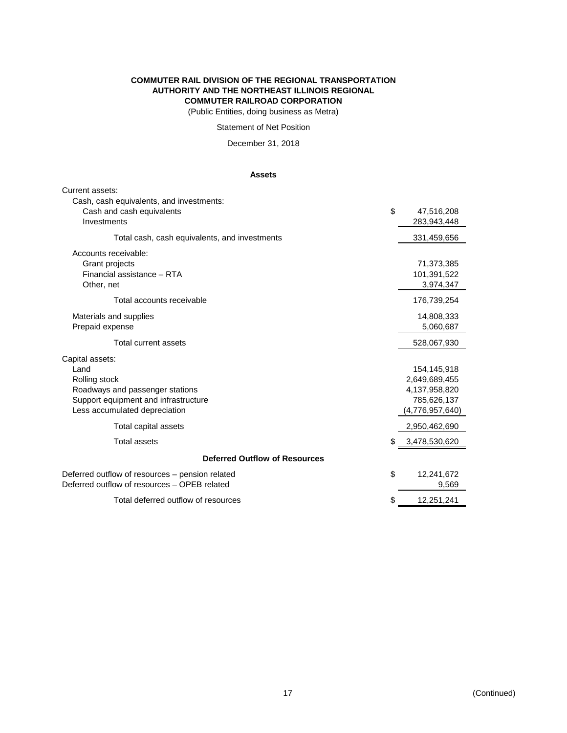(Public Entities, doing business as Metra)

Statement of Net Position

December 31, 2018

#### **Assets**

| Current assets:<br>Cash, cash equivalents, and investments:                                                                                          |                                                                                 |
|------------------------------------------------------------------------------------------------------------------------------------------------------|---------------------------------------------------------------------------------|
| Cash and cash equivalents<br>Investments                                                                                                             | \$<br>47,516,208<br>283,943,448                                                 |
| Total cash, cash equivalents, and investments                                                                                                        | 331,459,656                                                                     |
| Accounts receivable:<br>Grant projects<br>Financial assistance - RTA<br>Other, net                                                                   | 71,373,385<br>101,391,522<br>3,974,347                                          |
| Total accounts receivable                                                                                                                            | 176,739,254                                                                     |
| Materials and supplies<br>Prepaid expense                                                                                                            | 14,808,333<br>5,060,687                                                         |
| Total current assets                                                                                                                                 | 528,067,930                                                                     |
| Capital assets:<br>Land<br>Rolling stock<br>Roadways and passenger stations<br>Support equipment and infrastructure<br>Less accumulated depreciation | 154,145,918<br>2,649,689,455<br>4,137,958,820<br>785,626,137<br>(4,776,957,640) |
| Total capital assets                                                                                                                                 | 2,950,462,690                                                                   |
| <b>Total assets</b>                                                                                                                                  | \$<br>3,478,530,620                                                             |
| <b>Deferred Outflow of Resources</b>                                                                                                                 |                                                                                 |
| Deferred outflow of resources – pension related<br>Deferred outflow of resources - OPEB related                                                      | \$<br>12,241,672<br>9,569                                                       |
| Total deferred outflow of resources                                                                                                                  | \$<br>12,251,241                                                                |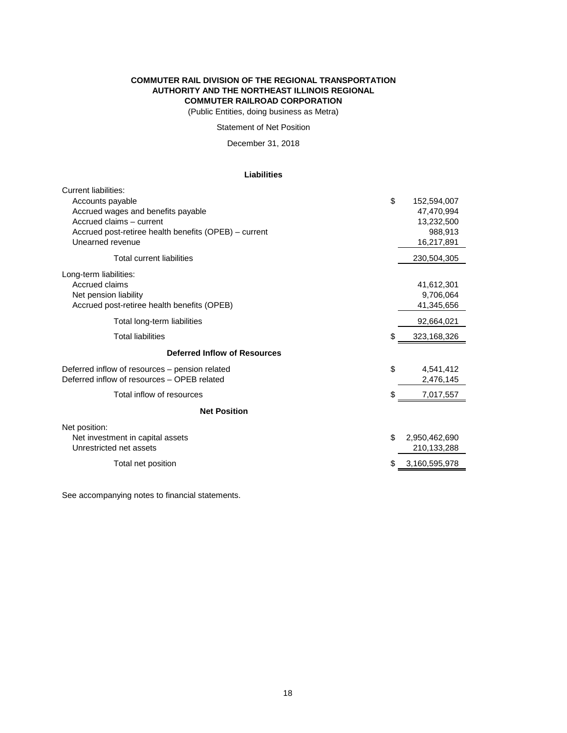(Public Entities, doing business as Metra)

Statement of Net Position

December 31, 2018

## **Liabilities**

| Current liabilities:<br>Accounts payable<br>Accrued wages and benefits payable<br>Accrued claims - current<br>Accrued post-retiree health benefits (OPEB) - current<br>Unearned revenue | \$<br>152,594,007<br>47,470,994<br>13,232,500<br>988,913<br>16,217,891 |
|-----------------------------------------------------------------------------------------------------------------------------------------------------------------------------------------|------------------------------------------------------------------------|
| <b>Total current liabilities</b>                                                                                                                                                        | 230,504,305                                                            |
| Long-term liabilities:<br>Accrued claims<br>Net pension liability<br>Accrued post-retiree health benefits (OPEB)                                                                        | 41,612,301<br>9,706,064<br>41,345,656                                  |
| Total long-term liabilities                                                                                                                                                             | 92,664,021                                                             |
| <b>Total liabilities</b>                                                                                                                                                                | 323,168,326                                                            |
| <b>Deferred Inflow of Resources</b>                                                                                                                                                     |                                                                        |
| Deferred inflow of resources – pension related<br>Deferred inflow of resources - OPEB related                                                                                           | \$<br>4,541,412<br>2,476,145                                           |
| Total inflow of resources                                                                                                                                                               | 7,017,557                                                              |
| <b>Net Position</b>                                                                                                                                                                     |                                                                        |
| Net position:<br>Net investment in capital assets<br>Unrestricted net assets<br>Total net position                                                                                      | \$<br>2,950,462,690<br>210,133,288<br>3,160,595,978                    |
|                                                                                                                                                                                         |                                                                        |

See accompanying notes to financial statements.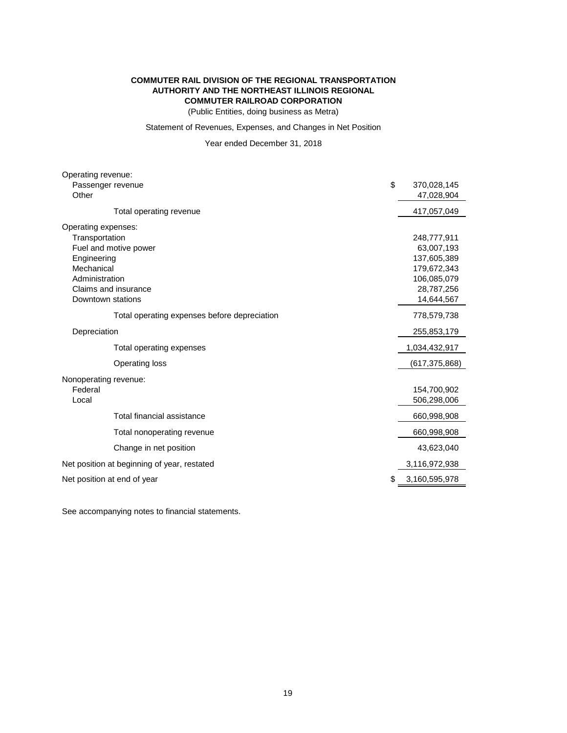(Public Entities, doing business as Metra)

Statement of Revenues, Expenses, and Changes in Net Position

Year ended December 31, 2018

| Operating revenue:                           |                   |
|----------------------------------------------|-------------------|
| Passenger revenue                            | \$<br>370,028,145 |
| Other                                        | 47,028,904        |
| Total operating revenue                      | 417,057,049       |
| Operating expenses:                          |                   |
| Transportation                               | 248,777,911       |
| Fuel and motive power                        | 63,007,193        |
| Engineering                                  | 137,605,389       |
| Mechanical                                   | 179,672,343       |
| Administration                               | 106,085,079       |
| Claims and insurance                         | 28,787,256        |
| Downtown stations                            | 14,644,567        |
| Total operating expenses before depreciation | 778,579,738       |
| Depreciation                                 | 255,853,179       |
| Total operating expenses                     | 1,034,432,917     |
| Operating loss                               | (617, 375, 868)   |
| Nonoperating revenue:                        |                   |
| Federal                                      | 154,700,902       |
| Local                                        | 506,298,006       |
| Total financial assistance                   | 660,998,908       |
| Total nonoperating revenue                   | 660,998,908       |
| Change in net position                       | 43,623,040        |
| Net position at beginning of year, restated  | 3,116,972,938     |
| Net position at end of year                  | 3,160,595,978     |
|                                              |                   |

See accompanying notes to financial statements.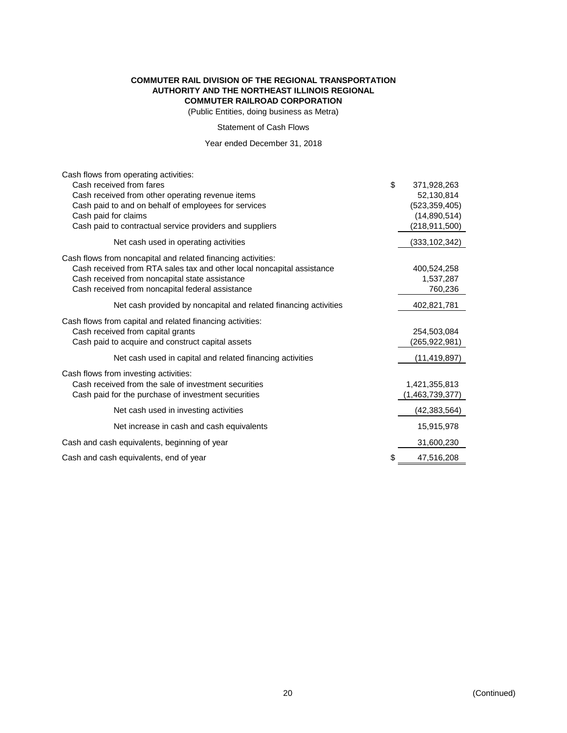(Public Entities, doing business as Metra)

#### Statement of Cash Flows

## Year ended December 31, 2018

| Cash flows from operating activities:                                  |                   |
|------------------------------------------------------------------------|-------------------|
| Cash received from fares                                               | \$<br>371,928,263 |
| Cash received from other operating revenue items                       | 52,130,814        |
| Cash paid to and on behalf of employees for services                   | (523, 359, 405)   |
| Cash paid for claims                                                   | (14,890,514)      |
| Cash paid to contractual service providers and suppliers               | (218, 911, 500)   |
| Net cash used in operating activities                                  | (333, 102, 342)   |
| Cash flows from noncapital and related financing activities:           |                   |
| Cash received from RTA sales tax and other local noncapital assistance | 400,524,258       |
| Cash received from noncapital state assistance                         | 1,537,287         |
| Cash received from noncapital federal assistance                       | 760,236           |
| Net cash provided by noncapital and related financing activities       | 402,821,781       |
| Cash flows from capital and related financing activities:              |                   |
| Cash received from capital grants                                      | 254,503,084       |
| Cash paid to acquire and construct capital assets                      | (265,922,981)     |
| Net cash used in capital and related financing activities              | (11,419,897)      |
| Cash flows from investing activities:                                  |                   |
| Cash received from the sale of investment securities                   | 1,421,355,813     |
| Cash paid for the purchase of investment securities                    | (1,463,739,377)   |
| Net cash used in investing activities                                  | (42,383,564)      |
| Net increase in cash and cash equivalents                              | 15,915,978        |
| Cash and cash equivalents, beginning of year                           | 31,600,230        |
| Cash and cash equivalents, end of year                                 | \$<br>47,516,208  |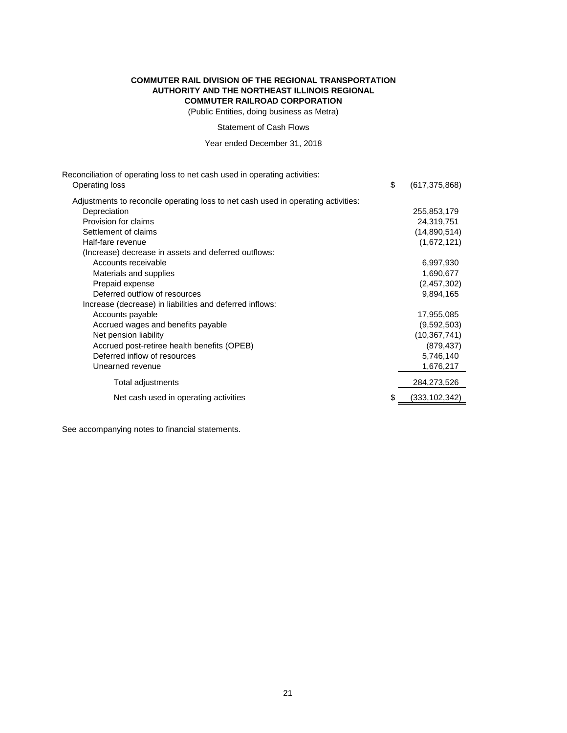(Public Entities, doing business as Metra)

#### Statement of Cash Flows

#### Year ended December 31, 2018

| Reconciliation of operating loss to net cash used in operating activities:        |                       |
|-----------------------------------------------------------------------------------|-----------------------|
| Operating loss                                                                    | \$<br>(617, 375, 868) |
| Adjustments to reconcile operating loss to net cash used in operating activities: |                       |
| Depreciation                                                                      | 255,853,179           |
| Provision for claims                                                              | 24,319,751            |
| Settlement of claims                                                              | (14,890,514)          |
| Half-fare revenue                                                                 | (1,672,121)           |
| (Increase) decrease in assets and deferred outflows:                              |                       |
| Accounts receivable                                                               | 6,997,930             |
| Materials and supplies                                                            | 1,690,677             |
| Prepaid expense                                                                   | (2,457,302)           |
| Deferred outflow of resources                                                     | 9,894,165             |
| Increase (decrease) in liabilities and deferred inflows:                          |                       |
| Accounts payable                                                                  | 17,955,085            |
| Accrued wages and benefits payable                                                | (9,592,503)           |
| Net pension liability                                                             | (10, 367, 741)        |
| Accrued post-retiree health benefits (OPEB)                                       | (879, 437)            |
| Deferred inflow of resources                                                      | 5,746,140             |
| Unearned revenue                                                                  | 1,676,217             |
| Total adjustments                                                                 | 284,273,526           |
| Net cash used in operating activities                                             | (333,102,342)         |

See accompanying notes to financial statements.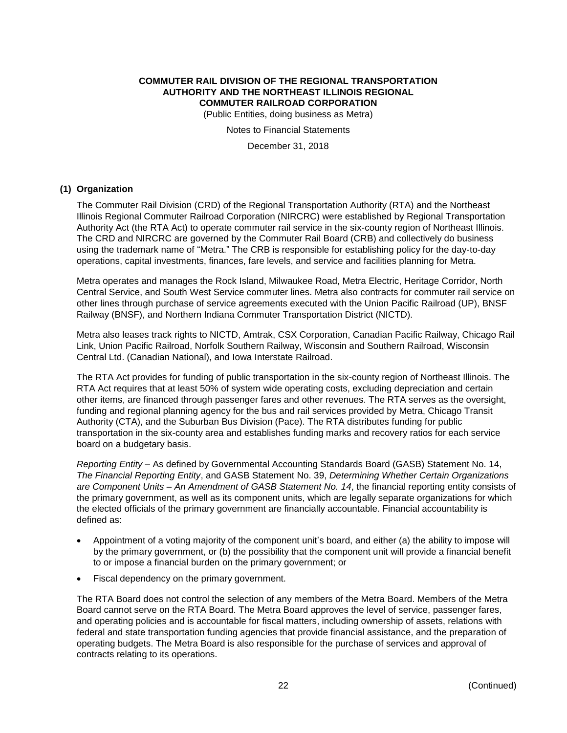(Public Entities, doing business as Metra)

Notes to Financial Statements

December 31, 2018

# **(1) Organization**

The Commuter Rail Division (CRD) of the Regional Transportation Authority (RTA) and the Northeast Illinois Regional Commuter Railroad Corporation (NIRCRC) were established by Regional Transportation Authority Act (the RTA Act) to operate commuter rail service in the six-county region of Northeast Illinois. The CRD and NIRCRC are governed by the Commuter Rail Board (CRB) and collectively do business using the trademark name of "Metra." The CRB is responsible for establishing policy for the day-to-day operations, capital investments, finances, fare levels, and service and facilities planning for Metra.

Metra operates and manages the Rock Island, Milwaukee Road, Metra Electric, Heritage Corridor, North Central Service, and South West Service commuter lines. Metra also contracts for commuter rail service on other lines through purchase of service agreements executed with the Union Pacific Railroad (UP), BNSF Railway (BNSF), and Northern Indiana Commuter Transportation District (NICTD).

Metra also leases track rights to NICTD, Amtrak, CSX Corporation, Canadian Pacific Railway, Chicago Rail Link, Union Pacific Railroad, Norfolk Southern Railway, Wisconsin and Southern Railroad, Wisconsin Central Ltd. (Canadian National), and Iowa Interstate Railroad.

The RTA Act provides for funding of public transportation in the six-county region of Northeast Illinois. The RTA Act requires that at least 50% of system wide operating costs, excluding depreciation and certain other items, are financed through passenger fares and other revenues. The RTA serves as the oversight, funding and regional planning agency for the bus and rail services provided by Metra, Chicago Transit Authority (CTA), and the Suburban Bus Division (Pace). The RTA distributes funding for public transportation in the six-county area and establishes funding marks and recovery ratios for each service board on a budgetary basis.

*Reporting Entity* – As defined by Governmental Accounting Standards Board (GASB) Statement No. 14, *The Financial Reporting Entity*, and GASB Statement No. 39, *Determining Whether Certain Organizations are Component Units – An Amendment of GASB Statement No. 14*, the financial reporting entity consists of the primary government, as well as its component units, which are legally separate organizations for which the elected officials of the primary government are financially accountable. Financial accountability is defined as:

- Appointment of a voting majority of the component unit's board, and either (a) the ability to impose will by the primary government, or (b) the possibility that the component unit will provide a financial benefit to or impose a financial burden on the primary government; or
- Fiscal dependency on the primary government.

The RTA Board does not control the selection of any members of the Metra Board. Members of the Metra Board cannot serve on the RTA Board. The Metra Board approves the level of service, passenger fares, and operating policies and is accountable for fiscal matters, including ownership of assets, relations with federal and state transportation funding agencies that provide financial assistance, and the preparation of operating budgets. The Metra Board is also responsible for the purchase of services and approval of contracts relating to its operations.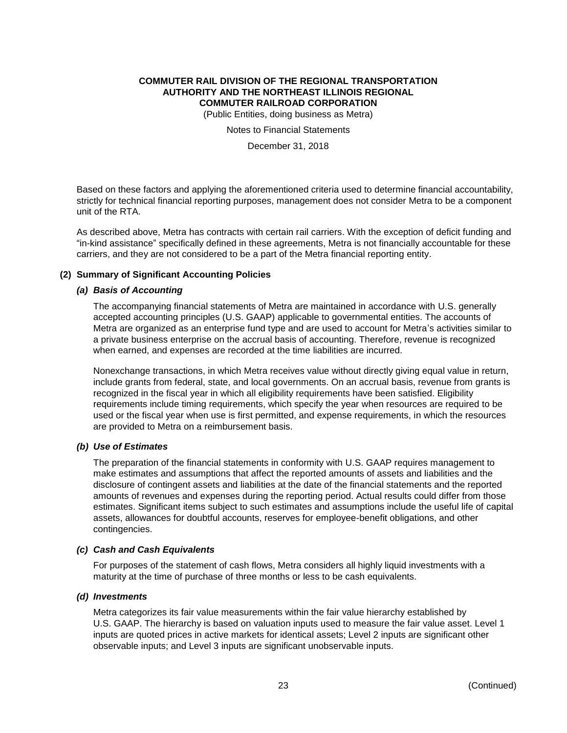(Public Entities, doing business as Metra)

Notes to Financial Statements

December 31, 2018

Based on these factors and applying the aforementioned criteria used to determine financial accountability, strictly for technical financial reporting purposes, management does not consider Metra to be a component unit of the RTA.

As described above, Metra has contracts with certain rail carriers. With the exception of deficit funding and "in-kind assistance" specifically defined in these agreements, Metra is not financially accountable for these carriers, and they are not considered to be a part of the Metra financial reporting entity.

#### **(2) Summary of Significant Accounting Policies**

#### *(a) Basis of Accounting*

The accompanying financial statements of Metra are maintained in accordance with U.S. generally accepted accounting principles (U.S. GAAP) applicable to governmental entities. The accounts of Metra are organized as an enterprise fund type and are used to account for Metra's activities similar to a private business enterprise on the accrual basis of accounting. Therefore, revenue is recognized when earned, and expenses are recorded at the time liabilities are incurred.

Nonexchange transactions, in which Metra receives value without directly giving equal value in return, include grants from federal, state, and local governments. On an accrual basis, revenue from grants is recognized in the fiscal year in which all eligibility requirements have been satisfied. Eligibility requirements include timing requirements, which specify the year when resources are required to be used or the fiscal year when use is first permitted, and expense requirements, in which the resources are provided to Metra on a reimbursement basis.

#### *(b) Use of Estimates*

The preparation of the financial statements in conformity with U.S. GAAP requires management to make estimates and assumptions that affect the reported amounts of assets and liabilities and the disclosure of contingent assets and liabilities at the date of the financial statements and the reported amounts of revenues and expenses during the reporting period. Actual results could differ from those estimates. Significant items subject to such estimates and assumptions include the useful life of capital assets, allowances for doubtful accounts, reserves for employee-benefit obligations, and other contingencies.

#### *(c) Cash and Cash Equivalents*

For purposes of the statement of cash flows, Metra considers all highly liquid investments with a maturity at the time of purchase of three months or less to be cash equivalents.

#### *(d) Investments*

Metra categorizes its fair value measurements within the fair value hierarchy established by U.S. GAAP. The hierarchy is based on valuation inputs used to measure the fair value asset. Level 1 inputs are quoted prices in active markets for identical assets; Level 2 inputs are significant other observable inputs; and Level 3 inputs are significant unobservable inputs.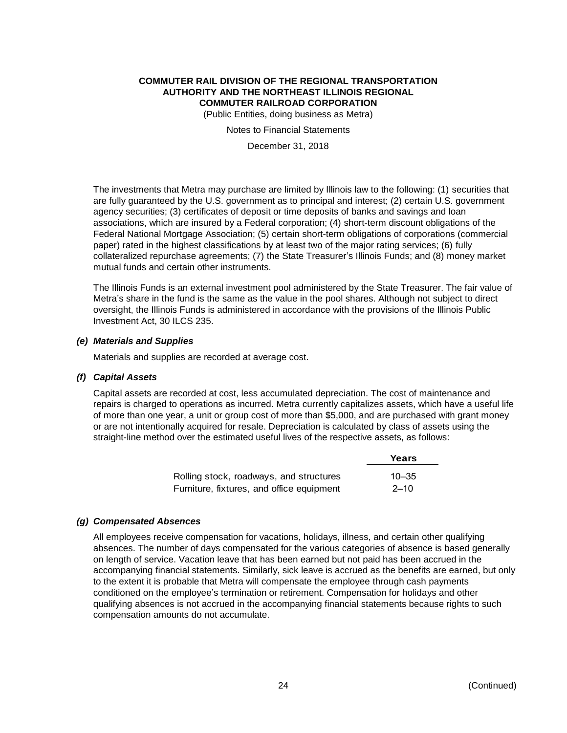(Public Entities, doing business as Metra)

Notes to Financial Statements

December 31, 2018

The investments that Metra may purchase are limited by Illinois law to the following: (1) securities that are fully guaranteed by the U.S. government as to principal and interest; (2) certain U.S. government agency securities; (3) certificates of deposit or time deposits of banks and savings and loan associations, which are insured by a Federal corporation; (4) short-term discount obligations of the Federal National Mortgage Association; (5) certain short-term obligations of corporations (commercial paper) rated in the highest classifications by at least two of the major rating services; (6) fully collateralized repurchase agreements; (7) the State Treasurer's Illinois Funds; and (8) money market mutual funds and certain other instruments.

The Illinois Funds is an external investment pool administered by the State Treasurer. The fair value of Metra's share in the fund is the same as the value in the pool shares. Although not subject to direct oversight, the Illinois Funds is administered in accordance with the provisions of the Illinois Public Investment Act, 30 ILCS 235.

#### *(e) Materials and Supplies*

Materials and supplies are recorded at average cost.

#### *(f) Capital Assets*

Capital assets are recorded at cost, less accumulated depreciation. The cost of maintenance and repairs is charged to operations as incurred. Metra currently capitalizes assets, which have a useful life of more than one year, a unit or group cost of more than \$5,000, and are purchased with grant money or are not intentionally acquired for resale. Depreciation is calculated by class of assets using the straight-line method over the estimated useful lives of the respective assets, as follows:

|                                           | Years     |
|-------------------------------------------|-----------|
| Rolling stock, roadways, and structures   | $10 - 35$ |
| Furniture, fixtures, and office equipment | $2 - 10$  |

#### *(g) Compensated Absences*

All employees receive compensation for vacations, holidays, illness, and certain other qualifying absences. The number of days compensated for the various categories of absence is based generally on length of service. Vacation leave that has been earned but not paid has been accrued in the accompanying financial statements. Similarly, sick leave is accrued as the benefits are earned, but only to the extent it is probable that Metra will compensate the employee through cash payments conditioned on the employee's termination or retirement. Compensation for holidays and other qualifying absences is not accrued in the accompanying financial statements because rights to such compensation amounts do not accumulate.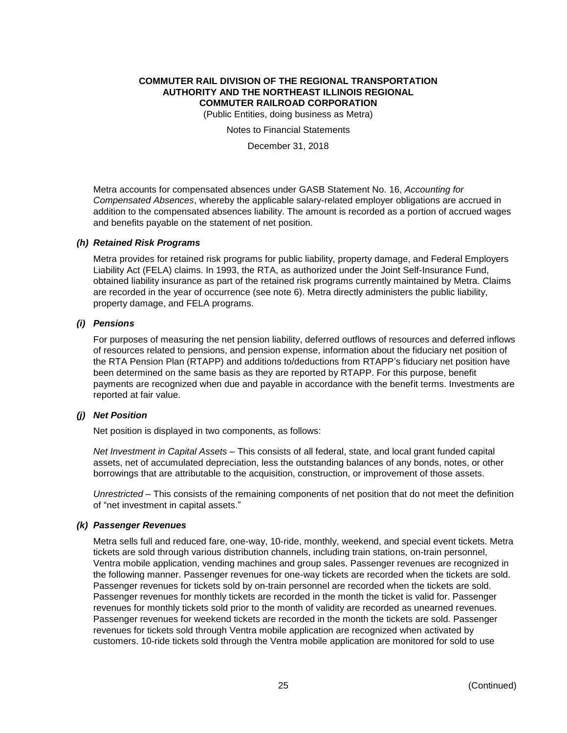(Public Entities, doing business as Metra)

Notes to Financial Statements

December 31, 2018

Metra accounts for compensated absences under GASB Statement No. 16, *Accounting for Compensated Absences*, whereby the applicable salary-related employer obligations are accrued in addition to the compensated absences liability. The amount is recorded as a portion of accrued wages and benefits payable on the statement of net position.

#### *(h) Retained Risk Programs*

Metra provides for retained risk programs for public liability, property damage, and Federal Employers Liability Act (FELA) claims. In 1993, the RTA, as authorized under the Joint Self-Insurance Fund, obtained liability insurance as part of the retained risk programs currently maintained by Metra. Claims are recorded in the year of occurrence (see note 6). Metra directly administers the public liability, property damage, and FELA programs.

#### *(i) Pensions*

For purposes of measuring the net pension liability, deferred outflows of resources and deferred inflows of resources related to pensions, and pension expense, information about the fiduciary net position of the RTA Pension Plan (RTAPP) and additions to/deductions from RTAPP's fiduciary net position have been determined on the same basis as they are reported by RTAPP. For this purpose, benefit payments are recognized when due and payable in accordance with the benefit terms. Investments are reported at fair value.

#### *(j) Net Position*

Net position is displayed in two components, as follows:

*Net Investment in Capital Assets* – This consists of all federal, state, and local grant funded capital assets, net of accumulated depreciation, less the outstanding balances of any bonds, notes, or other borrowings that are attributable to the acquisition, construction, or improvement of those assets.

*Unrestricted* – This consists of the remaining components of net position that do not meet the definition of "net investment in capital assets."

#### *(k) Passenger Revenues*

Metra sells full and reduced fare, one-way, 10-ride, monthly, weekend, and special event tickets. Metra tickets are sold through various distribution channels, including train stations, on-train personnel, Ventra mobile application, vending machines and group sales. Passenger revenues are recognized in the following manner. Passenger revenues for one-way tickets are recorded when the tickets are sold. Passenger revenues for tickets sold by on-train personnel are recorded when the tickets are sold. Passenger revenues for monthly tickets are recorded in the month the ticket is valid for. Passenger revenues for monthly tickets sold prior to the month of validity are recorded as unearned revenues. Passenger revenues for weekend tickets are recorded in the month the tickets are sold. Passenger revenues for tickets sold through Ventra mobile application are recognized when activated by customers. 10-ride tickets sold through the Ventra mobile application are monitored for sold to use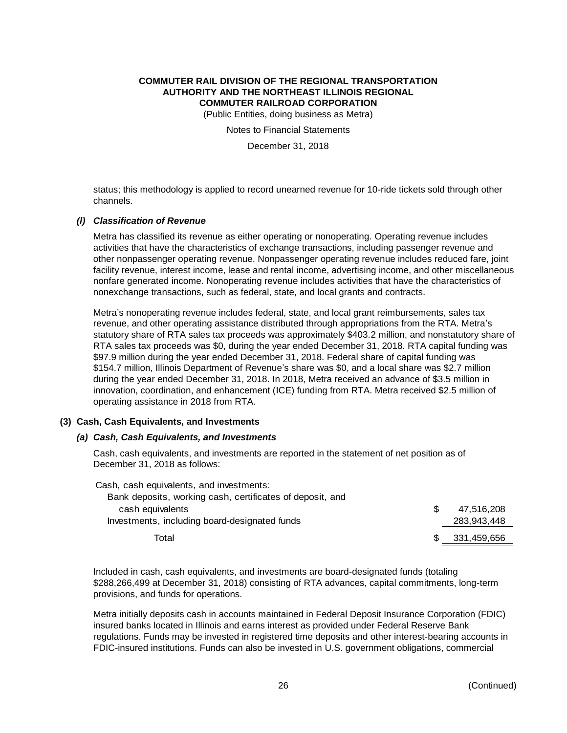(Public Entities, doing business as Metra)

Notes to Financial Statements

December 31, 2018

status; this methodology is applied to record unearned revenue for 10-ride tickets sold through other channels.

## *(l) Classification of Revenue*

Metra has classified its revenue as either operating or nonoperating. Operating revenue includes activities that have the characteristics of exchange transactions, including passenger revenue and other nonpassenger operating revenue. Nonpassenger operating revenue includes reduced fare, joint facility revenue, interest income, lease and rental income, advertising income, and other miscellaneous nonfare generated income. Nonoperating revenue includes activities that have the characteristics of nonexchange transactions, such as federal, state, and local grants and contracts.

Metra's nonoperating revenue includes federal, state, and local grant reimbursements, sales tax revenue, and other operating assistance distributed through appropriations from the RTA. Metra's statutory share of RTA sales tax proceeds was approximately \$403.2 million, and nonstatutory share of RTA sales tax proceeds was \$0, during the year ended December 31, 2018. RTA capital funding was \$97.9 million during the year ended December 31, 2018. Federal share of capital funding was \$154.7 million, Illinois Department of Revenue's share was \$0, and a local share was \$2.7 million during the year ended December 31, 2018. In 2018, Metra received an advance of \$3.5 million in innovation, coordination, and enhancement (ICE) funding from RTA. Metra received \$2.5 million of operating assistance in 2018 from RTA.

#### **(3) Cash, Cash Equivalents, and Investments**

#### *(a) Cash, Cash Equivalents, and Investments*

Cash, cash equivalents, and investments are reported in the statement of net position as of December 31, 2018 as follows:

| Cash, cash equivalents, and investments:                  |             |
|-----------------------------------------------------------|-------------|
| Bank deposits, working cash, certificates of deposit, and |             |
| cash equivalents                                          | 47.516.208  |
| Investments, including board-designated funds             | 283.943.448 |
| Total                                                     | 331,459,656 |

Included in cash, cash equivalents, and investments are board-designated funds (totaling \$288,266,499 at December 31, 2018) consisting of RTA advances, capital commitments, long-term provisions, and funds for operations.

Metra initially deposits cash in accounts maintained in Federal Deposit Insurance Corporation (FDIC) insured banks located in Illinois and earns interest as provided under Federal Reserve Bank regulations. Funds may be invested in registered time deposits and other interest-bearing accounts in FDIC-insured institutions. Funds can also be invested in U.S. government obligations, commercial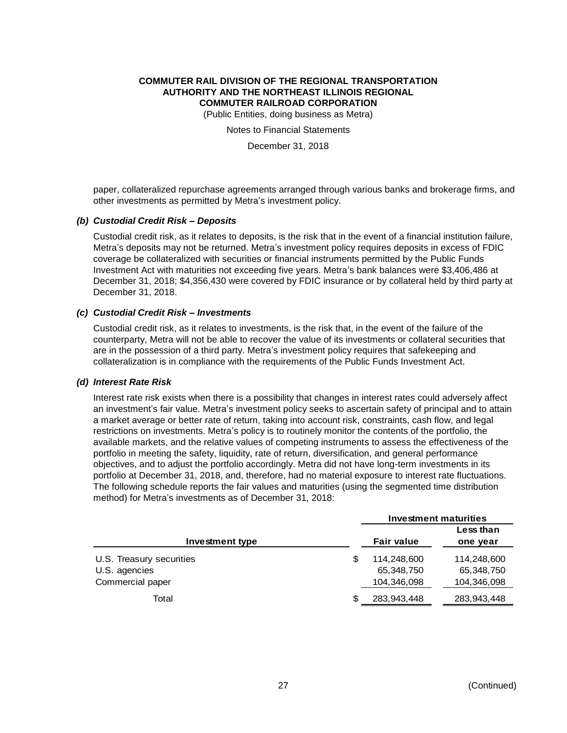(Public Entities, doing business as Metra)

Notes to Financial Statements

December 31, 2018

paper, collateralized repurchase agreements arranged through various banks and brokerage firms, and other investments as permitted by Metra's investment policy.

#### *(b) Custodial Credit Risk – Deposits*

Custodial credit risk, as it relates to deposits, is the risk that in the event of a financial institution failure, Metra's deposits may not be returned. Metra's investment policy requires deposits in excess of FDIC coverage be collateralized with securities or financial instruments permitted by the Public Funds Investment Act with maturities not exceeding five years. Metra's bank balances were \$3,406,486 at December 31, 2018; \$4,356,430 were covered by FDIC insurance or by collateral held by third party at December 31, 2018.

#### *(c) Custodial Credit Risk – Investments*

Custodial credit risk, as it relates to investments, is the risk that, in the event of the failure of the counterparty, Metra will not be able to recover the value of its investments or collateral securities that are in the possession of a third party. Metra's investment policy requires that safekeeping and collateralization is in compliance with the requirements of the Public Funds Investment Act.

#### *(d) Interest Rate Risk*

Interest rate risk exists when there is a possibility that changes in interest rates could adversely affect an investment's fair value. Metra's investment policy seeks to ascertain safety of principal and to attain a market average or better rate of return, taking into account risk, constraints, cash flow, and legal restrictions on investments. Metra's policy is to routinely monitor the contents of the portfolio, the available markets, and the relative values of competing instruments to assess the effectiveness of the portfolio in meeting the safety, liquidity, rate of return, diversification, and general performance objectives, and to adjust the portfolio accordingly. Metra did not have long-term investments in its portfolio at December 31, 2018, and, therefore, had no material exposure to interest rate fluctuations. The following schedule reports the fair values and maturities (using the segmented time distribution method) for Metra's investments as of December 31, 2018:

|                          |   | <b>Investment maturities</b> |                       |  |
|--------------------------|---|------------------------------|-----------------------|--|
| Investment type          |   | <b>Fair value</b>            | Less than<br>one year |  |
|                          |   |                              |                       |  |
| U.S. Treasury securities | S | 114,248,600                  | 114,248,600           |  |
| U.S. agencies            |   | 65,348,750                   | 65,348,750            |  |
| Commercial paper         |   | 104,346,098                  | 104,346,098           |  |
| Total                    |   | 283,943,448                  | 283,943,448           |  |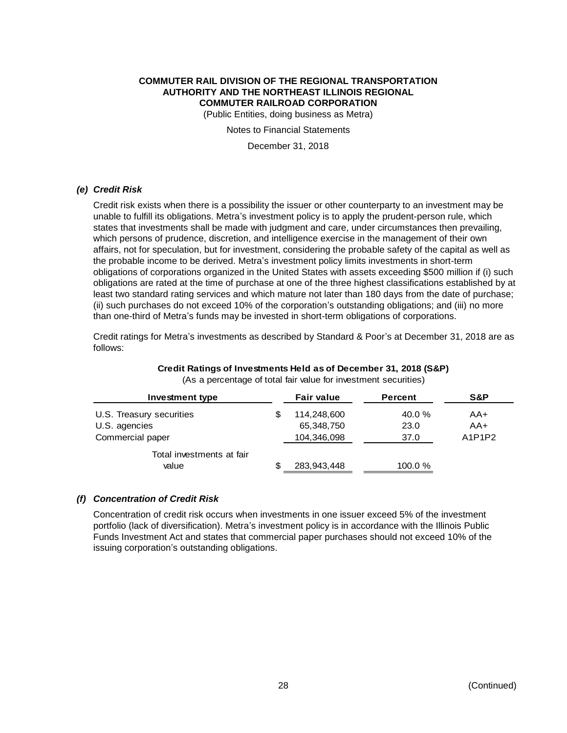(Public Entities, doing business as Metra)

Notes to Financial Statements

December 31, 2018

#### *(e) Credit Risk*

Credit risk exists when there is a possibility the issuer or other counterparty to an investment may be unable to fulfill its obligations. Metra's investment policy is to apply the prudent-person rule, which states that investments shall be made with judgment and care, under circumstances then prevailing, which persons of prudence, discretion, and intelligence exercise in the management of their own affairs, not for speculation, but for investment, considering the probable safety of the capital as well as the probable income to be derived. Metra's investment policy limits investments in short-term obligations of corporations organized in the United States with assets exceeding \$500 million if (i) such obligations are rated at the time of purchase at one of the three highest classifications established by at least two standard rating services and which mature not later than 180 days from the date of purchase; (ii) such purchases do not exceed 10% of the corporation's outstanding obligations; and (iii) no more than one-third of Metra's funds may be invested in short-term obligations of corporations.

Credit ratings for Metra's investments as described by Standard & Poor's at December 31, 2018 are as follows:

#### **Credit Ratings of Investments Held as of December 31, 2018 (S&P)**

| Investment type           | <b>Fair value</b> | <b>Percent</b> | S&P    |
|---------------------------|-------------------|----------------|--------|
| U.S. Treasury securities  | 114,248,600       | $40.0 \%$      | $AA+$  |
| U.S. agencies             | 65,348,750        | 23.0           | $AA+$  |
| Commercial paper          | 104,346,098       | 37.0           | A1P1P2 |
| Total investments at fair |                   |                |        |
| value                     | 283,943,448       | 100.0%         |        |

(As a percentage of total fair value for investment securities)

#### *(f) Concentration of Credit Risk*

Concentration of credit risk occurs when investments in one issuer exceed 5% of the investment portfolio (lack of diversification). Metra's investment policy is in accordance with the Illinois Public Funds Investment Act and states that commercial paper purchases should not exceed 10% of the issuing corporation's outstanding obligations.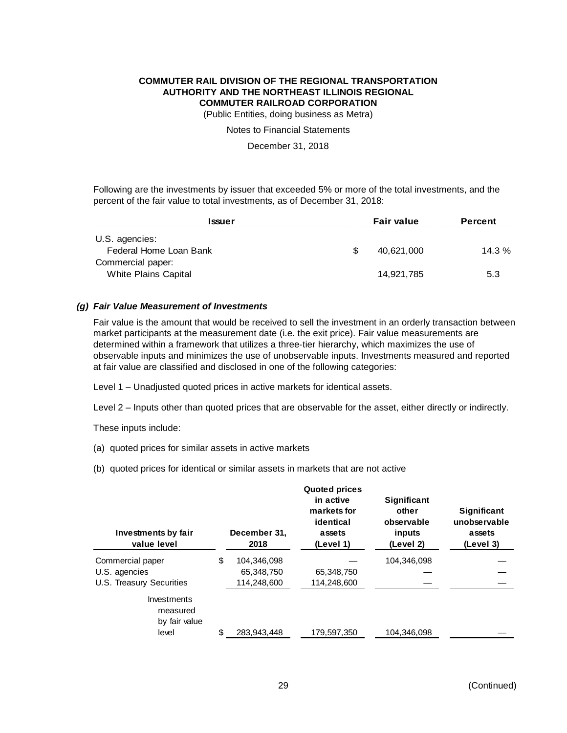(Public Entities, doing business as Metra)

Notes to Financial Statements

December 31, 2018

Following are the investments by issuer that exceeded 5% or more of the total investments, and the percent of the fair value to total investments, as of December 31, 2018:

| Issuer                                   |  | <b>Fair value</b> | <b>Percent</b> |
|------------------------------------------|--|-------------------|----------------|
| U.S. agencies:<br>Federal Home Loan Bank |  | 40.621.000        | $14.3\%$       |
| Commercial paper:                        |  |                   |                |
| <b>White Plains Capital</b>              |  | 14.921.785        | 5.3            |

#### *(g) Fair Value Measurement of Investments*

Fair value is the amount that would be received to sell the investment in an orderly transaction between market participants at the measurement date (i.e. the exit price). Fair value measurements are determined within a framework that utilizes a three‐tier hierarchy, which maximizes the use of observable inputs and minimizes the use of unobservable inputs. Investments measured and reported at fair value are classified and disclosed in one of the following categories:

Level 1 – Unadjusted quoted prices in active markets for identical assets.

Level 2 – Inputs other than quoted prices that are observable for the asset, either directly or indirectly.

These inputs include:

- (a) quoted prices for similar assets in active markets
- (b) quoted prices for identical or similar assets in markets that are not active

| Investments by fair<br>value level       | December 31,<br>2018 | <b>Quoted prices</b><br>in active<br>markets for<br>identical<br>assets<br>(Level 1) | <b>Significant</b><br>other<br>observable<br>inputs<br>(Level 2) | <b>Significant</b><br>unobservable<br>assets<br>(Level 3) |
|------------------------------------------|----------------------|--------------------------------------------------------------------------------------|------------------------------------------------------------------|-----------------------------------------------------------|
| Commercial paper                         | \$<br>104,346,098    |                                                                                      | 104,346,098                                                      |                                                           |
| U.S. agencies                            | 65,348,750           | 65,348,750                                                                           |                                                                  |                                                           |
| U.S. Treasury Securities                 | 114,248,600          | 114,248,600                                                                          |                                                                  |                                                           |
| Investments<br>measured<br>by fair value |                      |                                                                                      |                                                                  |                                                           |
| level                                    | \$<br>283,943,448    | 179,597,350                                                                          | 104,346,098                                                      |                                                           |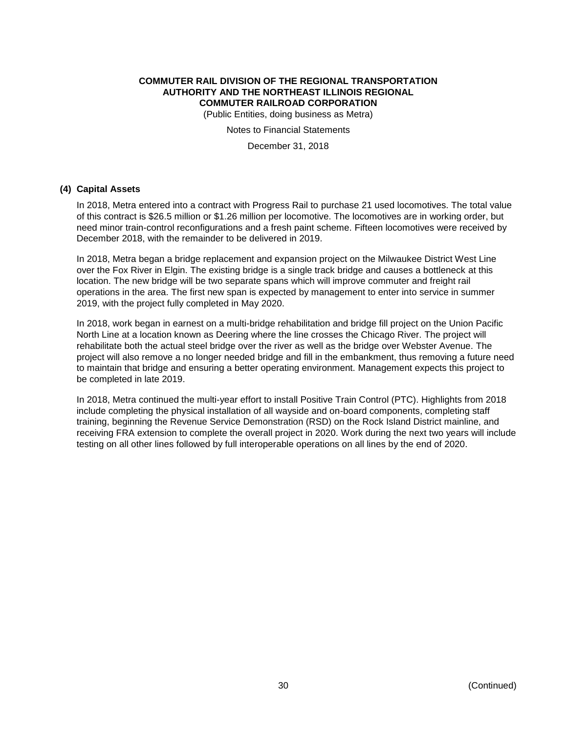(Public Entities, doing business as Metra)

Notes to Financial Statements

December 31, 2018

#### **(4) Capital Assets**

In 2018, Metra entered into a contract with Progress Rail to purchase 21 used locomotives. The total value of this contract is \$26.5 million or \$1.26 million per locomotive. The locomotives are in working order, but need minor train-control reconfigurations and a fresh paint scheme. Fifteen locomotives were received by December 2018, with the remainder to be delivered in 2019.

In 2018, Metra began a bridge replacement and expansion project on the Milwaukee District West Line over the Fox River in Elgin. The existing bridge is a single track bridge and causes a bottleneck at this location. The new bridge will be two separate spans which will improve commuter and freight rail operations in the area. The first new span is expected by management to enter into service in summer 2019, with the project fully completed in May 2020.

In 2018, work began in earnest on a multi-bridge rehabilitation and bridge fill project on the Union Pacific North Line at a location known as Deering where the line crosses the Chicago River. The project will rehabilitate both the actual steel bridge over the river as well as the bridge over Webster Avenue. The project will also remove a no longer needed bridge and fill in the embankment, thus removing a future need to maintain that bridge and ensuring a better operating environment. Management expects this project to be completed in late 2019.

In 2018, Metra continued the multi-year effort to install Positive Train Control (PTC). Highlights from 2018 include completing the physical installation of all wayside and on-board components, completing staff training, beginning the Revenue Service Demonstration (RSD) on the Rock Island District mainline, and receiving FRA extension to complete the overall project in 2020. Work during the next two years will include testing on all other lines followed by full interoperable operations on all lines by the end of 2020.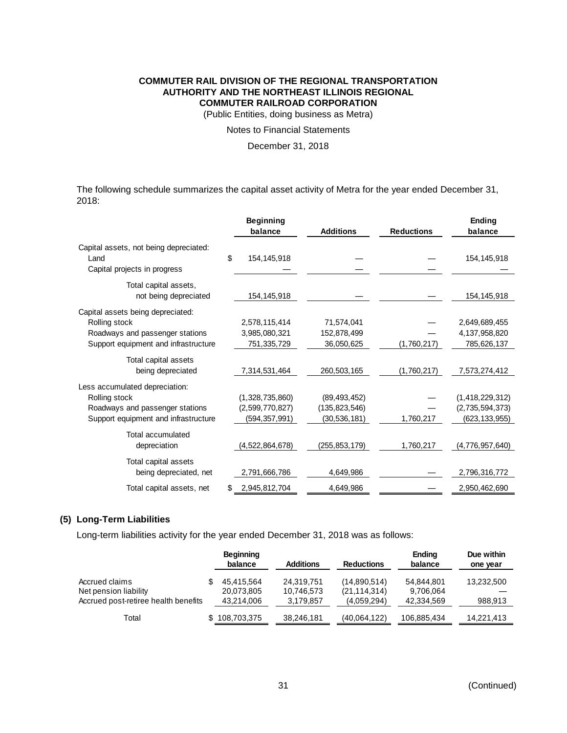(Public Entities, doing business as Metra)

Notes to Financial Statements

December 31, 2018

The following schedule summarizes the capital asset activity of Metra for the year ended December 31, 2018:

|                                        | <b>Beginning</b><br>balance | <b>Additions</b> | <b>Reductions</b> | <b>Ending</b><br>balance |
|----------------------------------------|-----------------------------|------------------|-------------------|--------------------------|
| Capital assets, not being depreciated: |                             |                  |                   |                          |
| Land                                   | \$<br>154, 145, 918         |                  |                   | 154, 145, 918            |
| Capital projects in progress           |                             |                  |                   |                          |
| Total capital assets,                  |                             |                  |                   |                          |
| not being depreciated                  | 154, 145, 918               |                  |                   | 154, 145, 918            |
| Capital assets being depreciated:      |                             |                  |                   |                          |
| Rolling stock                          | 2,578,115,414               | 71,574,041       |                   | 2,649,689,455            |
| Roadways and passenger stations        | 3,985,080,321               | 152,878,499      |                   | 4,137,958,820            |
| Support equipment and infrastructure   | 751,335,729                 | 36,050,625       | (1,760,217)       | 785,626,137              |
| Total capital assets                   |                             |                  |                   |                          |
| being depreciated                      | 7,314,531,464               | 260,503,165      | (1,760,217)       | 7,573,274,412            |
| Less accumulated depreciation:         |                             |                  |                   |                          |
| Rolling stock                          | (1,328,735,860)             | (89, 493, 452)   |                   | (1,418,229,312)          |
| Roadways and passenger stations        | (2,599,770,827)             | (135, 823, 546)  |                   | (2,735,594,373)          |
| Support equipment and infrastructure   | (594, 357, 991)             | (30, 536, 181)   | 1,760,217         | (623, 133, 955)          |
| Total accumulated                      |                             |                  |                   |                          |
| depreciation                           | (4,522,864,678)             | (255, 853, 179)  | 1,760,217         | (4,776,957,640)          |
| Total capital assets                   |                             |                  |                   |                          |
| being depreciated, net                 | 2,791,666,786               | 4,649,986        |                   | 2,796,316,772            |
| Total capital assets, net              | 2,945,812,704               | 4,649,986        |                   | 2,950,462,690            |

# **(5) Long-Term Liabilities**

Long-term liabilities activity for the year ended December 31, 2018 was as follows:

|                                      | <b>Beginning</b><br>balance | <b>Additions</b> | <b>Reductions</b> | <b>Ending</b><br>balance | Due within<br>one year |
|--------------------------------------|-----------------------------|------------------|-------------------|--------------------------|------------------------|
| Accrued claims                       | 45,415,564                  | 24,319,751       | (14,890,514)      | 54,844,801               | 13,232,500             |
| Net pension liability                | 20,073,805                  | 10,746,573       | (21, 114, 314)    | 9,706,064                |                        |
| Accrued post-retiree health benefits | 43,214,006                  | 3,179,857        | (4,059,294)       | 42,334,569               | 988,913                |
| Total                                | 108,703,375                 | 38,246,181       | (40,064,122)      | 106,885,434              | 14,221,413             |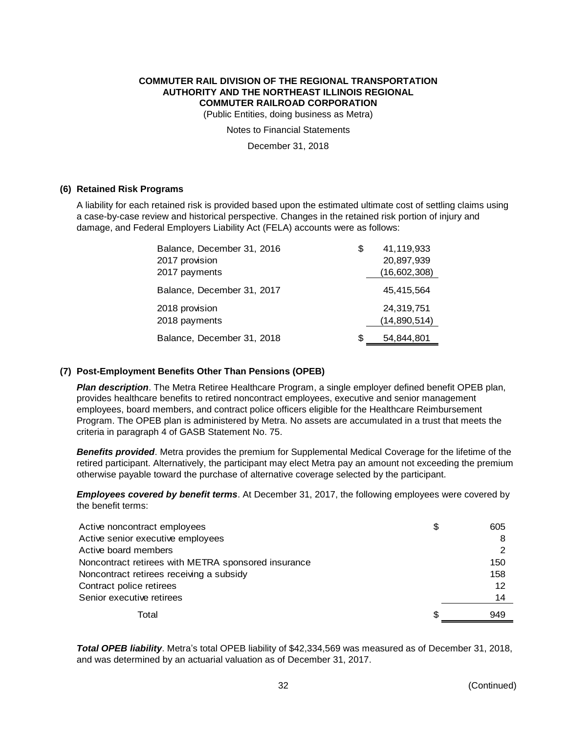(Public Entities, doing business as Metra)

Notes to Financial Statements

December 31, 2018

#### **(6) Retained Risk Programs**

A liability for each retained risk is provided based upon the estimated ultimate cost of settling claims using a case-by-case review and historical perspective. Changes in the retained risk portion of injury and damage, and Federal Employers Liability Act (FELA) accounts were as follows:

| Balance, December 31, 2016 | S | 41,119,933     |
|----------------------------|---|----------------|
| 2017 provision             |   | 20,897,939     |
| 2017 payments              |   | (16, 602, 308) |
| Balance, December 31, 2017 |   | 45,415,564     |
| 2018 provision             |   | 24,319,751     |
| 2018 payments              |   | (14,890,514)   |
| Balance, December 31, 2018 | S | 54,844,801     |

#### **(7) Post-Employment Benefits Other Than Pensions (OPEB)**

*Plan description*. The Metra Retiree Healthcare Program, a single employer defined benefit OPEB plan, provides healthcare benefits to retired noncontract employees, executive and senior management employees, board members, and contract police officers eligible for the Healthcare Reimbursement Program. The OPEB plan is administered by Metra. No assets are accumulated in a trust that meets the criteria in paragraph 4 of GASB Statement No. 75.

*Benefits provided*. Metra provides the premium for Supplemental Medical Coverage for the lifetime of the retired participant. Alternatively, the participant may elect Metra pay an amount not exceeding the premium otherwise payable toward the purchase of alternative coverage selected by the participant.

*Employees covered by benefit terms*. At December 31, 2017, the following employees were covered by the benefit terms:

| Active noncontract employees                        | \$<br>605 |
|-----------------------------------------------------|-----------|
| Active senior executive employees                   | 8         |
| Active board members                                |           |
| Noncontract retirees with METRA sponsored insurance | 150       |
| Noncontract retirees receiving a subsidy            | 158       |
| Contract police retirees                            | 12        |
| Senior executive retirees                           | 14        |
| Total                                               | 949       |

*Total OPEB liability*. Metra's total OPEB liability of \$42,334,569 was measured as of December 31, 2018, and was determined by an actuarial valuation as of December 31, 2017.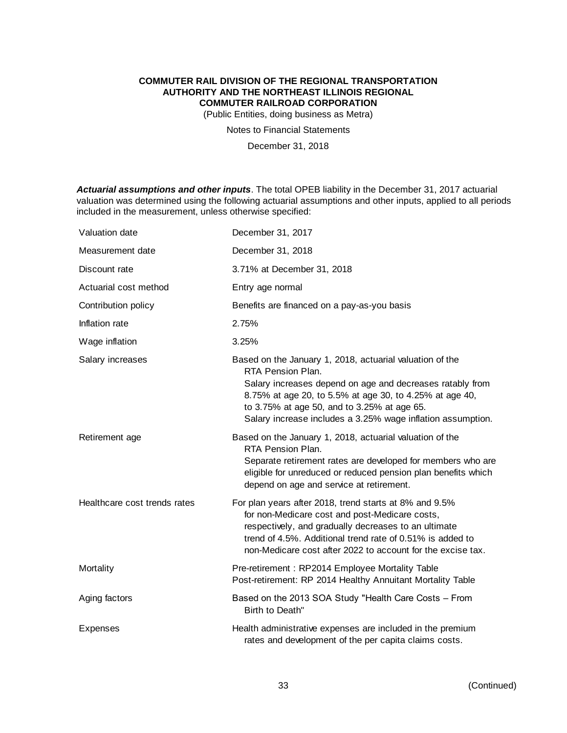(Public Entities, doing business as Metra)

Notes to Financial Statements

December 31, 2018

*Actuarial assumptions and other inputs*. The total OPEB liability in the December 31, 2017 actuarial valuation was determined using the following actuarial assumptions and other inputs, applied to all periods included in the measurement, unless otherwise specified:

| December 31, 2018                                                                                                                                                                                                                                                                                                   |
|---------------------------------------------------------------------------------------------------------------------------------------------------------------------------------------------------------------------------------------------------------------------------------------------------------------------|
| 3.71% at December 31, 2018                                                                                                                                                                                                                                                                                          |
| Entry age normal                                                                                                                                                                                                                                                                                                    |
| Benefits are financed on a pay-as-you basis                                                                                                                                                                                                                                                                         |
| 2.75%                                                                                                                                                                                                                                                                                                               |
| 3.25%                                                                                                                                                                                                                                                                                                               |
| Based on the January 1, 2018, actuarial valuation of the<br>RTA Pension Plan.<br>Salary increases depend on age and decreases ratably from<br>8.75% at age 20, to 5.5% at age 30, to 4.25% at age 40,<br>to 3.75% at age 50, and to 3.25% at age 65.<br>Salary increase includes a 3.25% wage inflation assumption. |
| Based on the January 1, 2018, actuarial valuation of the<br>RTA Pension Plan.<br>Separate retirement rates are developed for members who are<br>eligible for unreduced or reduced pension plan benefits which<br>depend on age and service at retirement.                                                           |
| For plan years after 2018, trend starts at 8% and 9.5%<br>for non-Medicare cost and post-Medicare costs,<br>respectively, and gradually decreases to an ultimate<br>trend of 4.5%. Additional trend rate of 0.51% is added to<br>non-Medicare cost after 2022 to account for the excise tax.                        |
| Pre-retirement: RP2014 Employee Mortality Table<br>Post-retirement: RP 2014 Healthy Annuitant Mortality Table                                                                                                                                                                                                       |
| Based on the 2013 SOA Study "Health Care Costs - From<br>Birth to Death"                                                                                                                                                                                                                                            |
| Health administrative expenses are included in the premium<br>rates and development of the per capita claims costs.                                                                                                                                                                                                 |
|                                                                                                                                                                                                                                                                                                                     |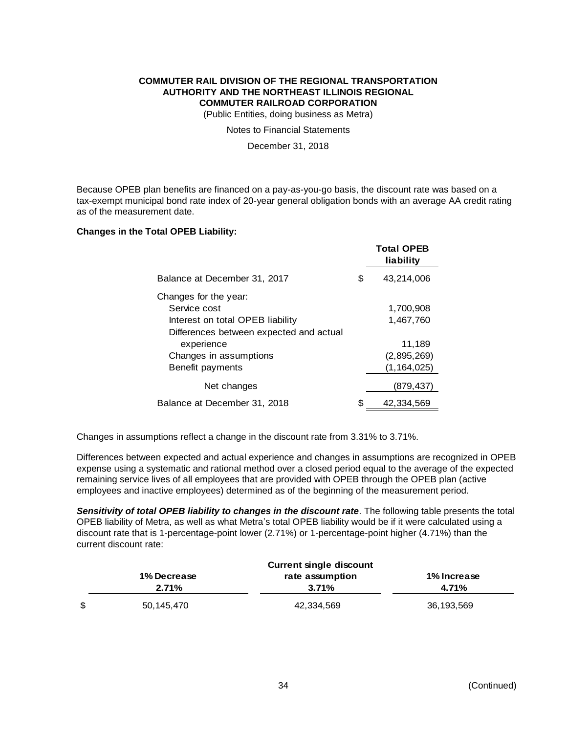(Public Entities, doing business as Metra)

Notes to Financial Statements

December 31, 2018

Because OPEB plan benefits are financed on a pay-as-you-go basis, the discount rate was based on a tax-exempt municipal bond rate index of 20-year general obligation bonds with an average AA credit rating as of the measurement date.

#### **Changes in the Total OPEB Liability:**

|                                         |   | <b>Total OPEB</b><br>liability |
|-----------------------------------------|---|--------------------------------|
| Balance at December 31, 2017            | S | 43,214,006                     |
| Changes for the year:                   |   |                                |
| Service cost                            |   | 1,700,908                      |
| Interest on total OPEB liability        |   | 1,467,760                      |
| Differences between expected and actual |   |                                |
| experience                              |   | 11,189                         |
| Changes in assumptions                  |   | (2,895,269)                    |
| Benefit payments                        |   | (1, 164, 025)                  |
| Net changes                             |   | (879, 437)                     |
| Balance at December 31, 2018            | S | 42.334.569                     |

Changes in assumptions reflect a change in the discount rate from 3.31% to 3.71%.

Differences between expected and actual experience and changes in assumptions are recognized in OPEB expense using a systematic and rational method over a closed period equal to the average of the expected remaining service lives of all employees that are provided with OPEB through the OPEB plan (active employees and inactive employees) determined as of the beginning of the measurement period.

Sensitivity of total OPEB liability to changes in the discount rate. The following table presents the total OPEB liability of Metra, as well as what Metra's total OPEB liability would be if it were calculated using a discount rate that is 1-percentage-point lower (2.71%) or 1-percentage-point higher (4.71%) than the current discount rate:

| 1% Decrease<br>2.71% |            | rate assumption<br>$3.71\%$ | 1% Increase<br>4.71% |  |
|----------------------|------------|-----------------------------|----------------------|--|
| \$                   | 50,145,470 | 42,334,569                  | 36,193,569           |  |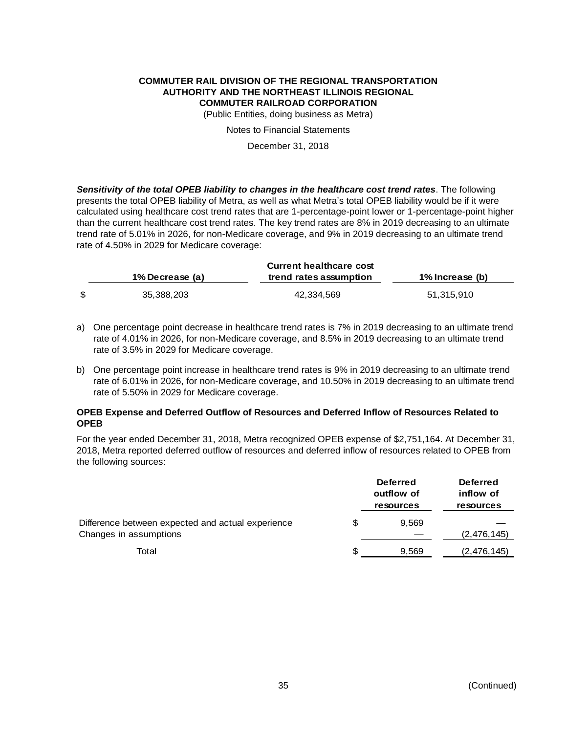(Public Entities, doing business as Metra)

Notes to Financial Statements

December 31, 2018

*Sensitivity of the total OPEB liability to changes in the healthcare cost trend rates*. The following presents the total OPEB liability of Metra, as well as what Metra's total OPEB liability would be if it were calculated using healthcare cost trend rates that are 1-percentage-point lower or 1-percentage-point higher than the current healthcare cost trend rates. The key trend rates are 8% in 2019 decreasing to an ultimate trend rate of 5.01% in 2026, for non-Medicare coverage, and 9% in 2019 decreasing to an ultimate trend rate of 4.50% in 2029 for Medicare coverage:

|     | <b>Current healthcare cost</b> |                        |                 |  |  |  |
|-----|--------------------------------|------------------------|-----------------|--|--|--|
|     | 1% Decrease (a)                | trend rates assumption | 1% Increase (b) |  |  |  |
| -\$ | 35,388,203                     | 42,334,569             | 51,315,910      |  |  |  |

- a) One percentage point decrease in healthcare trend rates is 7% in 2019 decreasing to an ultimate trend rate of 4.01% in 2026, for non-Medicare coverage, and 8.5% in 2019 decreasing to an ultimate trend rate of 3.5% in 2029 for Medicare coverage.
- b) One percentage point increase in healthcare trend rates is 9% in 2019 decreasing to an ultimate trend rate of 6.01% in 2026, for non-Medicare coverage, and 10.50% in 2019 decreasing to an ultimate trend rate of 5.50% in 2029 for Medicare coverage.

## **OPEB Expense and Deferred Outflow of Resources and Deferred Inflow of Resources Related to OPEB**

For the year ended December 31, 2018, Metra recognized OPEB expense of \$2,751,164. At December 31, 2018, Metra reported deferred outflow of resources and deferred inflow of resources related to OPEB from the following sources:

|                                                   |   | <b>Deferred</b><br>outflow of<br>resources | <b>Deferred</b><br>inflow of<br><b>resources</b> |
|---------------------------------------------------|---|--------------------------------------------|--------------------------------------------------|
| Difference between expected and actual experience | S | 9.569                                      |                                                  |
| Changes in assumptions                            |   |                                            | (2,476,145)                                      |
| Total                                             | S | 9,569                                      | (2,476,145)                                      |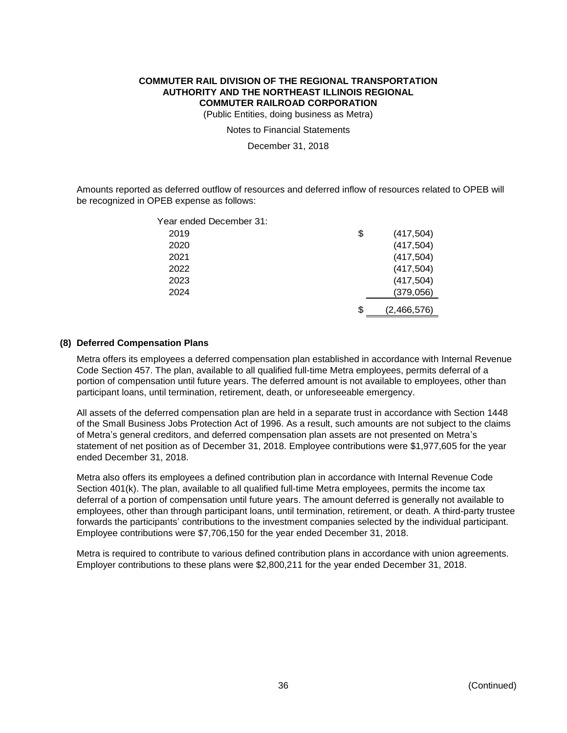(Public Entities, doing business as Metra)

Notes to Financial Statements

December 31, 2018

Amounts reported as deferred outflow of resources and deferred inflow of resources related to OPEB will be recognized in OPEB expense as follows:

Year ended December 31:

| 2019 | \$<br>(417, 504)  |
|------|-------------------|
| 2020 | (417, 504)        |
| 2021 | (417, 504)        |
| 2022 | (417, 504)        |
| 2023 | (417, 504)        |
| 2024 | (379, 056)        |
|      | \$<br>(2,466,576) |
|      |                   |

#### **(8) Deferred Compensation Plans**

Metra offers its employees a deferred compensation plan established in accordance with Internal Revenue Code Section 457. The plan, available to all qualified full-time Metra employees, permits deferral of a portion of compensation until future years. The deferred amount is not available to employees, other than participant loans, until termination, retirement, death, or unforeseeable emergency.

All assets of the deferred compensation plan are held in a separate trust in accordance with Section 1448 of the Small Business Jobs Protection Act of 1996. As a result, such amounts are not subject to the claims of Metra's general creditors, and deferred compensation plan assets are not presented on Metra's statement of net position as of December 31, 2018. Employee contributions were \$1,977,605 for the year ended December 31, 2018.

Metra also offers its employees a defined contribution plan in accordance with Internal Revenue Code Section 401(k). The plan, available to all qualified full-time Metra employees, permits the income tax deferral of a portion of compensation until future years. The amount deferred is generally not available to employees, other than through participant loans, until termination, retirement, or death. A third-party trustee forwards the participants' contributions to the investment companies selected by the individual participant. Employee contributions were \$7,706,150 for the year ended December 31, 2018.

Metra is required to contribute to various defined contribution plans in accordance with union agreements. Employer contributions to these plans were \$2,800,211 for the year ended December 31, 2018.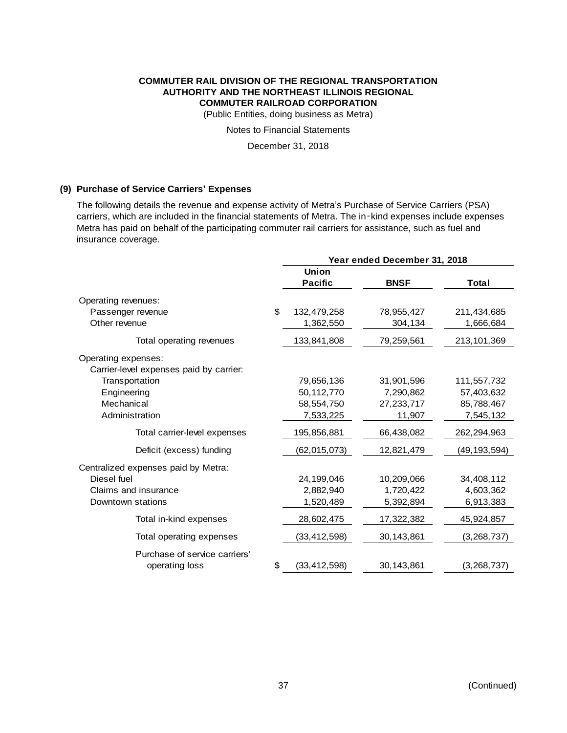(Public Entities, doing business as Metra)

Notes to Financial Statements

December 31, 2018

## **(9) Purchase of Service Carriers' Expenses**

The following details the revenue and expense activity of Metra's Purchase of Service Carriers (PSA) carriers, which are included in the financial statements of Metra. The in‑kind expenses include expenses Metra has paid on behalf of the participating commuter rail carriers for assistance, such as fuel and insurance coverage.

|                                                 | Year ended December 31, 2018 |             |               |
|-------------------------------------------------|------------------------------|-------------|---------------|
|                                                 | Union<br><b>Pacific</b>      | <b>BNSF</b> | Total         |
| Operating revenues:                             |                              |             |               |
| Passenger revenue                               | \$<br>132,479,258            | 78,955,427  | 211,434,685   |
| Other revenue                                   | 1,362,550                    | 304,134     | 1,666,684     |
| Total operating revenues                        | 133,841,808                  | 79,259,561  | 213, 101, 369 |
| Operating expenses:                             |                              |             |               |
| Carrier-level expenses paid by carrier:         |                              |             |               |
| Transportation                                  | 79,656,136                   | 31,901,596  | 111,557,732   |
| Engineering                                     | 50,112,770                   | 7,290,862   | 57,403,632    |
| Mechanical                                      | 58,554,750                   | 27,233,717  | 85,788,467    |
| Administration                                  | 7,533,225                    | 11,907      | 7,545,132     |
| Total carrier-level expenses                    | 195,856,881                  | 66,438,082  | 262,294,963   |
| Deficit (excess) funding                        | (62, 015, 073)               | 12,821,479  | (49,193,594)  |
| Centralized expenses paid by Metra:             |                              |             |               |
| Diesel fuel                                     | 24,199,046                   | 10,209,066  | 34,408,112    |
| Claims and insurance                            | 2,882,940                    | 1,720,422   | 4,603,362     |
| Downtown stations                               | 1,520,489                    | 5,392,894   | 6,913,383     |
| Total in-kind expenses                          | 28,602,475                   | 17,322,382  | 45,924,857    |
| Total operating expenses                        | (33, 412, 598)               | 30,143,861  | (3, 268, 737) |
| Purchase of service carriers'<br>operating loss | \$<br>(33, 412, 598)         | 30,143,861  | (3, 268, 737) |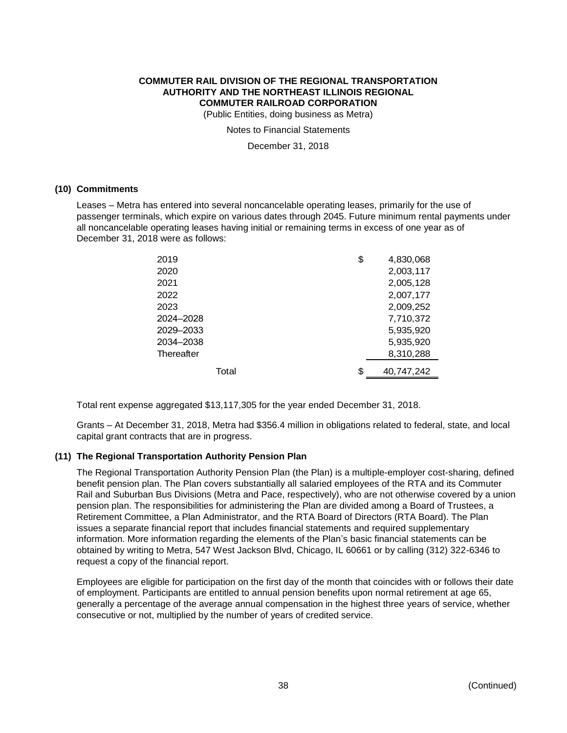(Public Entities, doing business as Metra)

Notes to Financial Statements

December 31, 2018

#### **(10) Commitments**

Leases – Metra has entered into several noncancelable operating leases, primarily for the use of passenger terminals, which expire on various dates through 2045. Future minimum rental payments under all noncancelable operating leases having initial or remaining terms in excess of one year as of December 31, 2018 were as follows:

| 2019       | \$<br>4,830,068  |
|------------|------------------|
| 2020       | 2,003,117        |
| 2021       | 2,005,128        |
| 2022       | 2,007,177        |
| 2023       | 2,009,252        |
| 2024-2028  | 7,710,372        |
| 2029-2033  | 5,935,920        |
| 2034-2038  | 5,935,920        |
| Thereafter | 8,310,288        |
| Total      | \$<br>40,747,242 |
|            |                  |

Total rent expense aggregated \$13,117,305 for the year ended December 31, 2018.

Grants – At December 31, 2018, Metra had \$356.4 million in obligations related to federal, state, and local capital grant contracts that are in progress.

#### **(11) The Regional Transportation Authority Pension Plan**

The Regional Transportation Authority Pension Plan (the Plan) is a multiple-employer cost-sharing, defined benefit pension plan. The Plan covers substantially all salaried employees of the RTA and its Commuter Rail and Suburban Bus Divisions (Metra and Pace, respectively), who are not otherwise covered by a union pension plan. The responsibilities for administering the Plan are divided among a Board of Trustees, a Retirement Committee, a Plan Administrator, and the RTA Board of Directors (RTA Board). The Plan issues a separate financial report that includes financial statements and required supplementary information. More information regarding the elements of the Plan's basic financial statements can be obtained by writing to Metra, 547 West Jackson Blvd, Chicago, IL 60661 or by calling (312) 322-6346 to request a copy of the financial report.

Employees are eligible for participation on the first day of the month that coincides with or follows their date of employment. Participants are entitled to annual pension benefits upon normal retirement at age 65, generally a percentage of the average annual compensation in the highest three years of service, whether consecutive or not, multiplied by the number of years of credited service.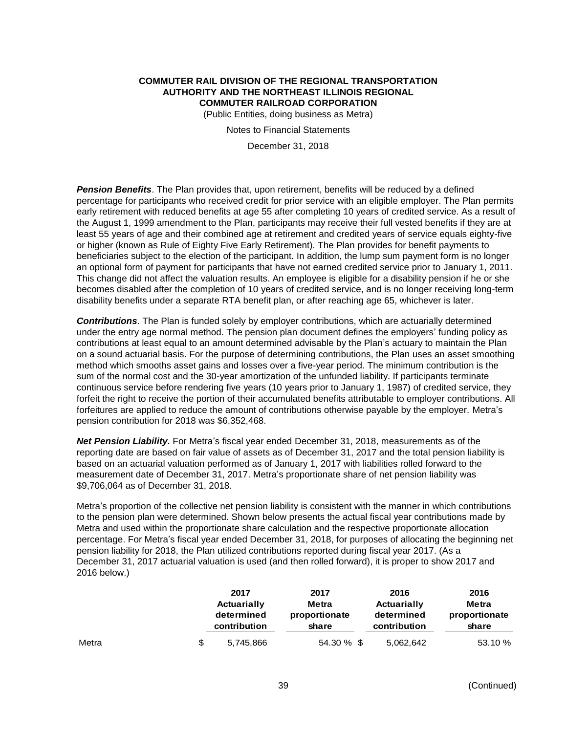(Public Entities, doing business as Metra)

Notes to Financial Statements

December 31, 2018

*Pension Benefits*. The Plan provides that, upon retirement, benefits will be reduced by a defined percentage for participants who received credit for prior service with an eligible employer. The Plan permits early retirement with reduced benefits at age 55 after completing 10 years of credited service. As a result of the August 1, 1999 amendment to the Plan, participants may receive their full vested benefits if they are at least 55 years of age and their combined age at retirement and credited years of service equals eighty-five or higher (known as Rule of Eighty Five Early Retirement). The Plan provides for benefit payments to beneficiaries subject to the election of the participant. In addition, the lump sum payment form is no longer an optional form of payment for participants that have not earned credited service prior to January 1, 2011. This change did not affect the valuation results. An employee is eligible for a disability pension if he or she becomes disabled after the completion of 10 years of credited service, and is no longer receiving long-term disability benefits under a separate RTA benefit plan, or after reaching age 65, whichever is later.

*Contributions*. The Plan is funded solely by employer contributions, which are actuarially determined under the entry age normal method. The pension plan document defines the employers' funding policy as contributions at least equal to an amount determined advisable by the Plan's actuary to maintain the Plan on a sound actuarial basis. For the purpose of determining contributions, the Plan uses an asset smoothing method which smooths asset gains and losses over a five-year period. The minimum contribution is the sum of the normal cost and the 30-year amortization of the unfunded liability. If participants terminate continuous service before rendering five years (10 years prior to January 1, 1987) of credited service, they forfeit the right to receive the portion of their accumulated benefits attributable to employer contributions. All forfeitures are applied to reduce the amount of contributions otherwise payable by the employer. Metra's pension contribution for 2018 was \$6,352,468.

*Net Pension Liability.* For Metra's fiscal year ended December 31, 2018, measurements as of the reporting date are based on fair value of assets as of December 31, 2017 and the total pension liability is based on an actuarial valuation performed as of January 1, 2017 with liabilities rolled forward to the measurement date of December 31, 2017. Metra's proportionate share of net pension liability was \$9,706,064 as of December 31, 2018.

Metra's proportion of the collective net pension liability is consistent with the manner in which contributions to the pension plan were determined. Shown below presents the actual fiscal year contributions made by Metra and used within the proportionate share calculation and the respective proportionate allocation percentage. For Metra's fiscal year ended December 31, 2018, for purposes of allocating the beginning net pension liability for 2018, the Plan utilized contributions reported during fiscal year 2017. (As a December 31, 2017 actuarial valuation is used (and then rolled forward), it is proper to show 2017 and 2016 below.)

|       | 2017<br>Actuarially<br>determined<br>contribution | 2017<br><b>Metra</b><br>proportionate<br>share | 2016<br>Actuarially<br>determined<br>contribution | 2016<br>Metra<br>proportionate<br>share |
|-------|---------------------------------------------------|------------------------------------------------|---------------------------------------------------|-----------------------------------------|
| Metra | \$<br>5,745,866                                   | 54.30 % \$                                     | 5,062,642                                         | 53.10 %                                 |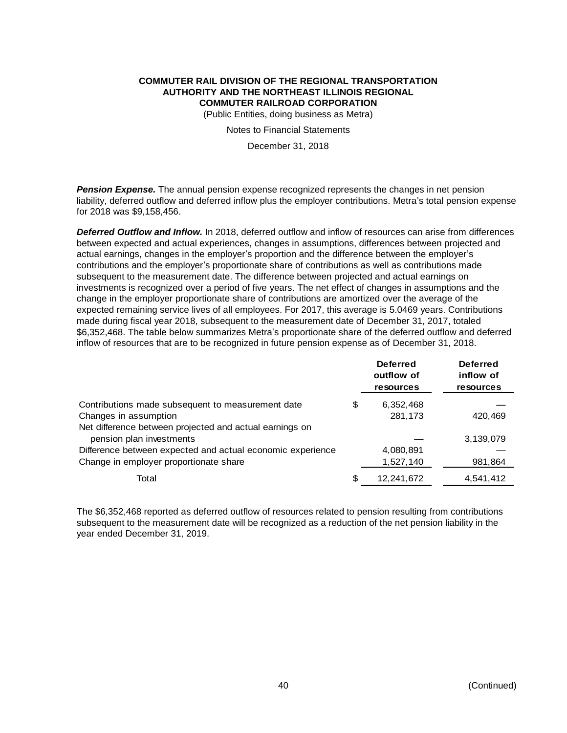(Public Entities, doing business as Metra)

Notes to Financial Statements

December 31, 2018

**Pension Expense.** The annual pension expense recognized represents the changes in net pension liability, deferred outflow and deferred inflow plus the employer contributions. Metra's total pension expense for 2018 was \$9,158,456.

*Deferred Outflow and Inflow.* In 2018, deferred outflow and inflow of resources can arise from differences between expected and actual experiences, changes in assumptions, differences between projected and actual earnings, changes in the employer's proportion and the difference between the employer's contributions and the employer's proportionate share of contributions as well as contributions made subsequent to the measurement date. The difference between projected and actual earnings on investments is recognized over a period of five years. The net effect of changes in assumptions and the change in the employer proportionate share of contributions are amortized over the average of the expected remaining service lives of all employees. For 2017, this average is 5.0469 years. Contributions made during fiscal year 2018, subsequent to the measurement date of December 31, 2017, totaled \$6,352,468. The table below summarizes Metra's proportionate share of the deferred outflow and deferred inflow of resources that are to be recognized in future pension expense as of December 31, 2018.

|                                                            | <b>Deferred</b><br>outflow of<br>resources | <b>Deferred</b><br>inflow of<br><b>resources</b> |
|------------------------------------------------------------|--------------------------------------------|--------------------------------------------------|
| Contributions made subsequent to measurement date          | \$<br>6,352,468                            |                                                  |
| Changes in assumption                                      | 281,173                                    | 420,469                                          |
| Net difference between projected and actual earnings on    |                                            |                                                  |
| pension plan investments                                   |                                            | 3,139,079                                        |
| Difference between expected and actual economic experience | 4,080,891                                  |                                                  |
| Change in employer proportionate share                     | 1,527,140                                  | 981,864                                          |
| Total                                                      | 12,241,672                                 | 4,541,412                                        |

The \$6,352,468 reported as deferred outflow of resources related to pension resulting from contributions subsequent to the measurement date will be recognized as a reduction of the net pension liability in the year ended December 31, 2019.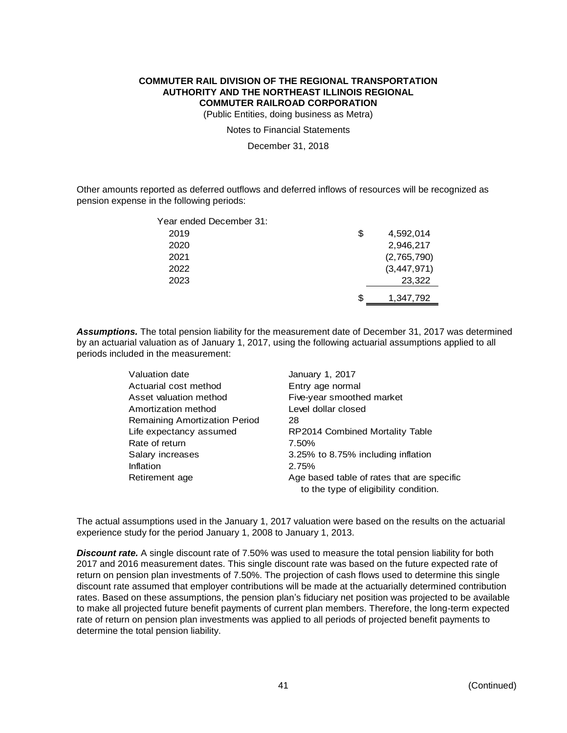(Public Entities, doing business as Metra)

Notes to Financial Statements

December 31, 2018

Other amounts reported as deferred outflows and deferred inflows of resources will be recognized as pension expense in the following periods:

| Year ended December 31: |                 |
|-------------------------|-----------------|
| 2019                    | \$<br>4,592,014 |
| 2020                    | 2,946,217       |
| 2021                    | (2,765,790)     |
| 2022                    | (3,447,971)     |
| 2023                    | 23,322          |
|                         | \$<br>1,347,792 |

*Assumptions.* The total pension liability for the measurement date of December 31, 2017 was determined by an actuarial valuation as of January 1, 2017, using the following actuarial assumptions applied to all periods included in the measurement:

| Valuation date                       | January 1, 2017                                                                     |
|--------------------------------------|-------------------------------------------------------------------------------------|
| Actuarial cost method                | Entry age normal                                                                    |
| Asset valuation method               | Five-year smoothed market                                                           |
| Amortization method                  | Level dollar closed                                                                 |
| <b>Remaining Amortization Period</b> | 28                                                                                  |
| Life expectancy assumed              | RP2014 Combined Mortality Table                                                     |
| Rate of return                       | 7.50%                                                                               |
| Salary increases                     | 3.25% to 8.75% including inflation                                                  |
| Inflation                            | 2.75%                                                                               |
| Retirement age                       | Age based table of rates that are specific<br>to the type of eligibility condition. |

The actual assumptions used in the January 1, 2017 valuation were based on the results on the actuarial experience study for the period January 1, 2008 to January 1, 2013.

*Discount rate.* A single discount rate of 7.50% was used to measure the total pension liability for both 2017 and 2016 measurement dates. This single discount rate was based on the future expected rate of return on pension plan investments of 7.50%. The projection of cash flows used to determine this single discount rate assumed that employer contributions will be made at the actuarially determined contribution rates. Based on these assumptions, the pension plan's fiduciary net position was projected to be available to make all projected future benefit payments of current plan members. Therefore, the long-term expected rate of return on pension plan investments was applied to all periods of projected benefit payments to determine the total pension liability.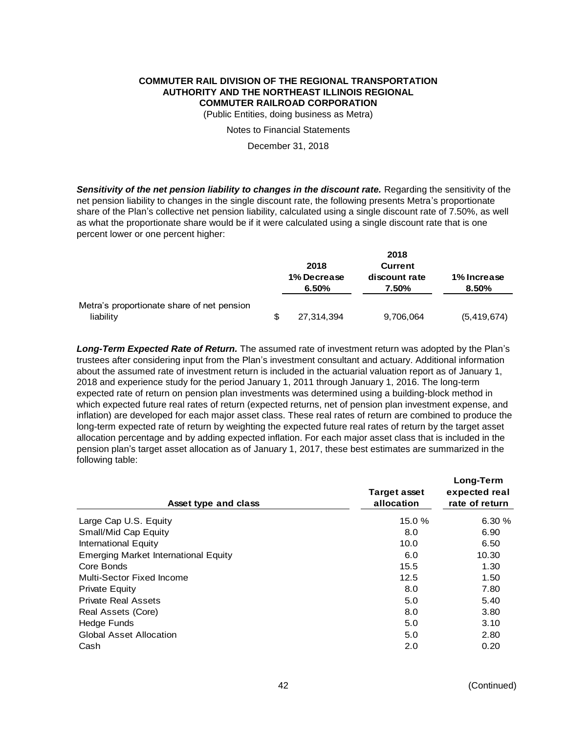(Public Entities, doing business as Metra)

Notes to Financial Statements

December 31, 2018

**Sensitivity of the net pension liability to changes in the discount rate.** Regarding the sensitivity of the net pension liability to changes in the single discount rate, the following presents Metra's proportionate share of the Plan's collective net pension liability, calculated using a single discount rate of 7.50%, as well as what the proportionate share would be if it were calculated using a single discount rate that is one percent lower or one percent higher:

|                                            | 2018 |                                 |                                          |                      |
|--------------------------------------------|------|---------------------------------|------------------------------------------|----------------------|
|                                            |      | 2018<br>1% Decrease<br>$6.50\%$ | <b>Current</b><br>discount rate<br>7.50% | 1% Increase<br>8.50% |
| Metra's proportionate share of net pension |      |                                 |                                          |                      |
| liability                                  | \$   | 27,314,394                      | 9,706,064                                | (5,419,674)          |

*Long-Term Expected Rate of Return.* The assumed rate of investment return was adopted by the Plan's trustees after considering input from the Plan's investment consultant and actuary. Additional information about the assumed rate of investment return is included in the actuarial valuation report as of January 1, 2018 and experience study for the period January 1, 2011 through January 1, 2016. The long-term expected rate of return on pension plan investments was determined using a building-block method in which expected future real rates of return (expected returns, net of pension plan investment expense, and inflation) are developed for each major asset class. These real rates of return are combined to produce the long-term expected rate of return by weighting the expected future real rates of return by the target asset allocation percentage and by adding expected inflation. For each major asset class that is included in the pension plan's target asset allocation as of January 1, 2017, these best estimates are summarized in the following table:

| Asset type and class                        | Target asset<br>allocation | Long-Term<br>expected real<br>rate of return |
|---------------------------------------------|----------------------------|----------------------------------------------|
| Large Cap U.S. Equity                       | 15.0%                      | 6.30%                                        |
| Small/Mid Cap Equity                        | 8.0                        | 6.90                                         |
| International Equity                        | 10.0                       | 6.50                                         |
| <b>Emerging Market International Equity</b> | 6.0                        | 10.30                                        |
| Core Bonds                                  | 15.5                       | 1.30                                         |
| Multi-Sector Fixed Income                   | 12.5                       | 1.50                                         |
| <b>Private Equity</b>                       | 8.0                        | 7.80                                         |
| <b>Private Real Assets</b>                  | 5.0                        | 5.40                                         |
| Real Assets (Core)                          | 8.0                        | 3.80                                         |
| Hedge Funds                                 | 5.0                        | 3.10                                         |
| Global Asset Allocation                     | 5.0                        | 2.80                                         |
| Cash                                        | 2.0                        | 0.20                                         |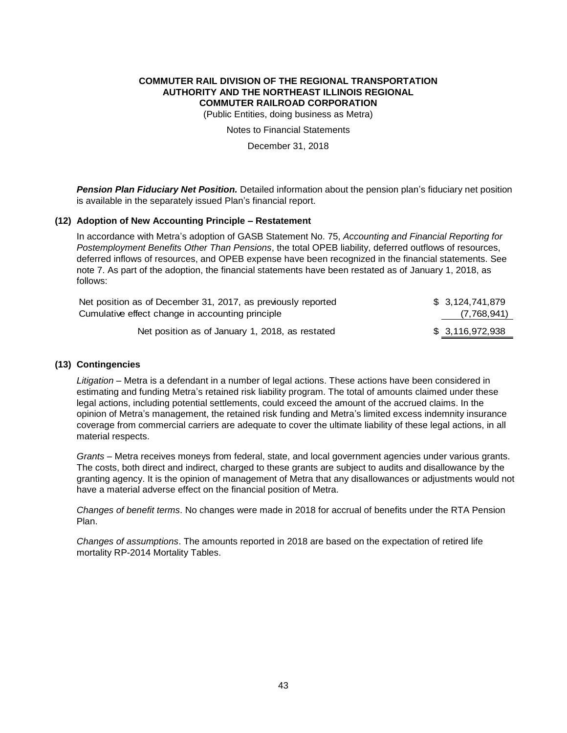(Public Entities, doing business as Metra)

Notes to Financial Statements

December 31, 2018

*Pension Plan Fiduciary Net Position.* Detailed information about the pension plan's fiduciary net position is available in the separately issued Plan's financial report.

#### **(12) Adoption of New Accounting Principle – Restatement**

In accordance with Metra's adoption of GASB Statement No. 75, *Accounting and Financial Reporting for Postemployment Benefits Other Than Pensions*, the total OPEB liability, deferred outflows of resources, deferred inflows of resources, and OPEB expense have been recognized in the financial statements. See note 7. As part of the adoption, the financial statements have been restated as of January 1, 2018, as follows:

| Net position as of December 31, 2017, as previously reported | \$3,124,741,879  |
|--------------------------------------------------------------|------------------|
| Cumulative effect change in accounting principle             | (7,768,941)      |
| Net position as of January 1, 2018, as restated              | \$ 3,116,972,938 |

#### **(13) Contingencies**

*Litigation* – Metra is a defendant in a number of legal actions. These actions have been considered in estimating and funding Metra's retained risk liability program. The total of amounts claimed under these legal actions, including potential settlements, could exceed the amount of the accrued claims. In the opinion of Metra's management, the retained risk funding and Metra's limited excess indemnity insurance coverage from commercial carriers are adequate to cover the ultimate liability of these legal actions, in all material respects.

*Grants* – Metra receives moneys from federal, state, and local government agencies under various grants. The costs, both direct and indirect, charged to these grants are subject to audits and disallowance by the granting agency. It is the opinion of management of Metra that any disallowances or adjustments would not have a material adverse effect on the financial position of Metra.

*Changes of benefit terms*. No changes were made in 2018 for accrual of benefits under the RTA Pension Plan.

*Changes of assumptions*. The amounts reported in 2018 are based on the expectation of retired life mortality RP-2014 Mortality Tables.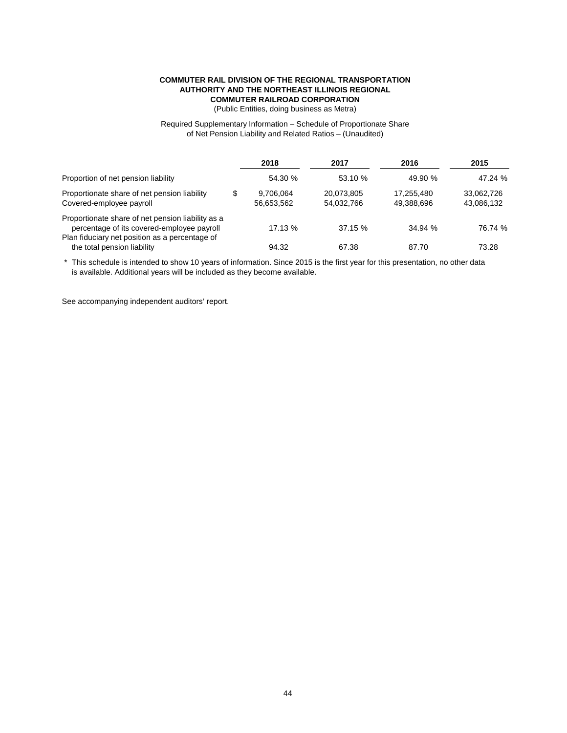(Public Entities, doing business as Metra)

#### Required Supplementary Information – Schedule of Proportionate Share of Net Pension Liability and Related Ratios – (Unaudited)

|                                                                                                                                                   |   | 2018                    | 2017                     | 2016                     | 2015                     |  |
|---------------------------------------------------------------------------------------------------------------------------------------------------|---|-------------------------|--------------------------|--------------------------|--------------------------|--|
| Proportion of net pension liability                                                                                                               |   | 54.30%                  | 53.10%                   | 49.90 $%$                | 47.24 %                  |  |
| Proportionate share of net pension liability<br>Covered-employee payroll                                                                          | S | 9.706.064<br>56.653.562 | 20.073.805<br>54.032.766 | 17.255.480<br>49,388,696 | 33.062.726<br>43.086.132 |  |
| Proportionate share of net pension liability as a<br>percentage of its covered-employee payroll<br>Plan fiduciary net position as a percentage of |   | 17.13%                  | 37.15%                   | 34.94%                   | 76.74 %                  |  |
| the total pension liability                                                                                                                       |   | 94.32                   | 67.38                    | 87.70                    | 73.28                    |  |

\* This schedule is intended to show 10 years of information. Since 2015 is the first year for this presentation, no other data is available. Additional years will be included as they become available.

See accompanying independent auditors' report.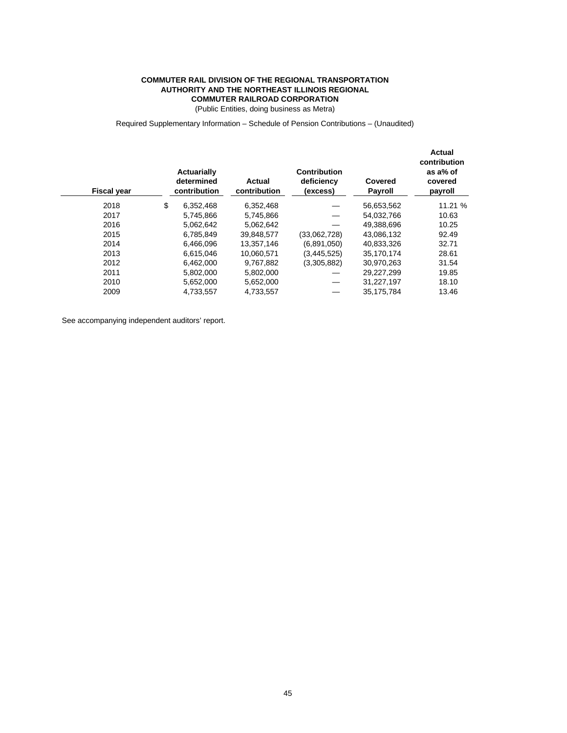(Public Entities, doing business as Metra)

Required Supplementary Information – Schedule of Pension Contributions – (Unaudited)

| <b>Fiscal year</b> |    | <b>Actuarially</b><br>determined<br>contribution | <b>Actual</b><br>contribution | <b>Contribution</b><br>deficiency<br>Covered<br>(excess)<br><b>Payroll</b> |            | <b>Actual</b><br>contribution<br>as a% of<br>covered<br>payroll |
|--------------------|----|--------------------------------------------------|-------------------------------|----------------------------------------------------------------------------|------------|-----------------------------------------------------------------|
| 2018               | \$ | 6.352.468                                        | 6.352.468                     |                                                                            | 56,653,562 | 11.21 %                                                         |
| 2017               |    | 5,745,866                                        | 5,745,866                     |                                                                            | 54,032,766 | 10.63                                                           |
| 2016               |    | 5.062.642                                        | 5.062.642                     |                                                                            | 49.388.696 | 10.25                                                           |
| 2015               |    | 6,785,849                                        | 39,848,577                    | (33,062,728)                                                               | 43,086,132 | 92.49                                                           |
| 2014               |    | 6.466.096                                        | 13.357.146                    | (6,891,050)                                                                | 40.833.326 | 32.71                                                           |
| 2013               |    | 6.615.046                                        | 10.060.571                    | (3,445,525)                                                                | 35.170.174 | 28.61                                                           |
| 2012               |    | 6.462.000                                        | 9.767.882                     | (3,305,882)                                                                | 30,970,263 | 31.54                                                           |
| 2011               |    | 5.802.000                                        | 5,802,000                     |                                                                            | 29.227.299 | 19.85                                                           |
| 2010               |    | 5,652,000                                        | 5,652,000                     |                                                                            | 31,227,197 | 18.10                                                           |
| 2009               |    | 4,733,557                                        | 4,733,557                     |                                                                            | 35.175.784 | 13.46                                                           |
|                    |    |                                                  |                               |                                                                            |            |                                                                 |

See accompanying independent auditors' report.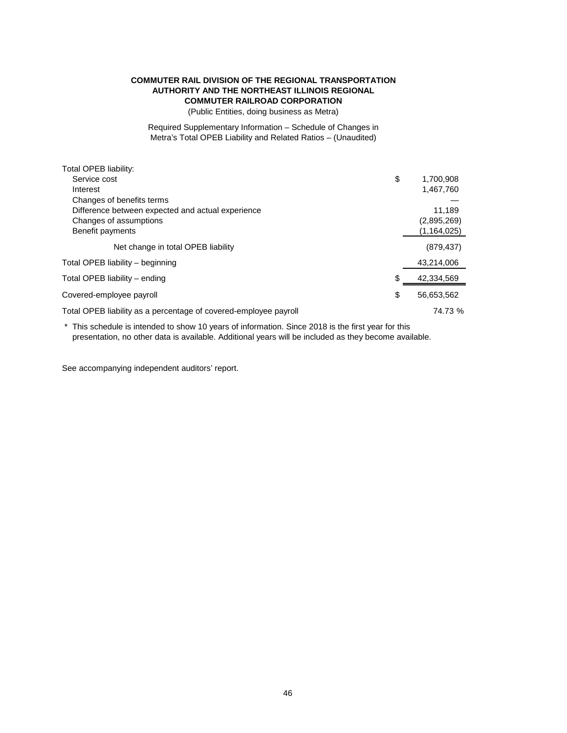(Public Entities, doing business as Metra)

Required Supplementary Information – Schedule of Changes in Metra's Total OPEB Liability and Related Ratios – (Unaudited)

| Total OPEB liability:                                            |    |             |
|------------------------------------------------------------------|----|-------------|
| Service cost                                                     |    | 1,700,908   |
| Interest                                                         |    | 1,467,760   |
| Changes of benefits terms                                        |    |             |
| Difference between expected and actual experience                |    | 11.189      |
| Changes of assumptions                                           |    | (2,895,269) |
| Benefit payments                                                 |    | (1,164,025) |
| Net change in total OPEB liability                               |    | (879, 437)  |
| Total OPEB liability - beginning                                 |    | 43,214,006  |
| Total OPEB liability – ending                                    | \$ | 42,334,569  |
| Covered-employee payroll                                         | \$ | 56,653,562  |
| Total OPEB liability as a percentage of covered-employee payroll |    | 74.73 %     |

\* This schedule is intended to show 10 years of information. Since 2018 is the first year for this presentation, no other data is available. Additional years will be included as they become available.

See accompanying independent auditors' report.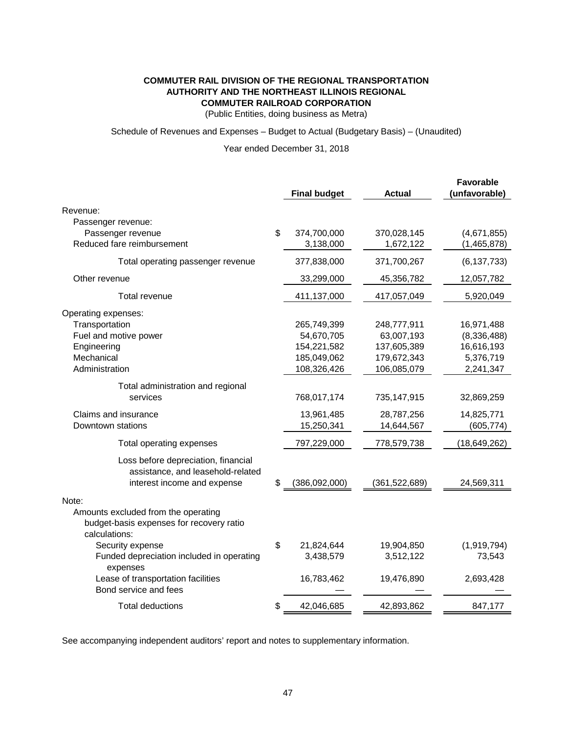(Public Entities, doing business as Metra)

Schedule of Revenues and Expenses – Budget to Actual (Budgetary Basis) – (Unaudited)

Year ended December 31, 2018

|                                                                                                         | <b>Final budget</b> | <b>Actual</b>   | <b>Favorable</b><br>(unfavorable) |
|---------------------------------------------------------------------------------------------------------|---------------------|-----------------|-----------------------------------|
| Revenue:                                                                                                |                     |                 |                                   |
| Passenger revenue:                                                                                      |                     |                 |                                   |
| Passenger revenue                                                                                       | \$<br>374,700,000   | 370,028,145     | (4,671,855)                       |
| Reduced fare reimbursement                                                                              | 3,138,000           | 1,672,122       | (1,465,878)                       |
| Total operating passenger revenue                                                                       | 377,838,000         | 371,700,267     | (6, 137, 733)                     |
| Other revenue                                                                                           | 33,299,000          | 45,356,782      | 12,057,782                        |
| Total revenue                                                                                           | 411,137,000         | 417,057,049     | 5,920,049                         |
| Operating expenses:                                                                                     |                     |                 |                                   |
| Transportation                                                                                          | 265,749,399         | 248,777,911     | 16,971,488                        |
| Fuel and motive power                                                                                   | 54,670,705          | 63,007,193      | (8,336,488)                       |
| Engineering                                                                                             | 154,221,582         | 137,605,389     | 16,616,193                        |
| Mechanical                                                                                              | 185,049,062         | 179,672,343     | 5,376,719                         |
| Administration                                                                                          | 108,326,426         | 106,085,079     | 2,241,347                         |
| Total administration and regional                                                                       |                     |                 |                                   |
| services                                                                                                | 768,017,174         | 735,147,915     | 32,869,259                        |
| Claims and insurance                                                                                    | 13,961,485          | 28,787,256      | 14,825,771                        |
| Downtown stations                                                                                       | 15,250,341          | 14,644,567      | (605, 774)                        |
| Total operating expenses                                                                                | 797,229,000         | 778,579,738     | (18, 649, 262)                    |
| Loss before depreciation, financial<br>assistance, and leasehold-related<br>interest income and expense | \$<br>(386,092,000) | (361, 522, 689) | 24,569,311                        |
| Note:                                                                                                   |                     |                 |                                   |
| Amounts excluded from the operating<br>budget-basis expenses for recovery ratio<br>calculations:        |                     |                 |                                   |
| Security expense                                                                                        | \$<br>21,824,644    | 19,904,850      | (1,919,794)                       |
| Funded depreciation included in operating<br>expenses                                                   | 3,438,579           | 3,512,122       | 73,543                            |
| Lease of transportation facilities                                                                      | 16,783,462          | 19,476,890      | 2,693,428                         |
| Bond service and fees                                                                                   |                     |                 |                                   |
| <b>Total deductions</b>                                                                                 | \$<br>42,046,685    | 42,893,862      | 847,177                           |

See accompanying independent auditors' report and notes to supplementary information.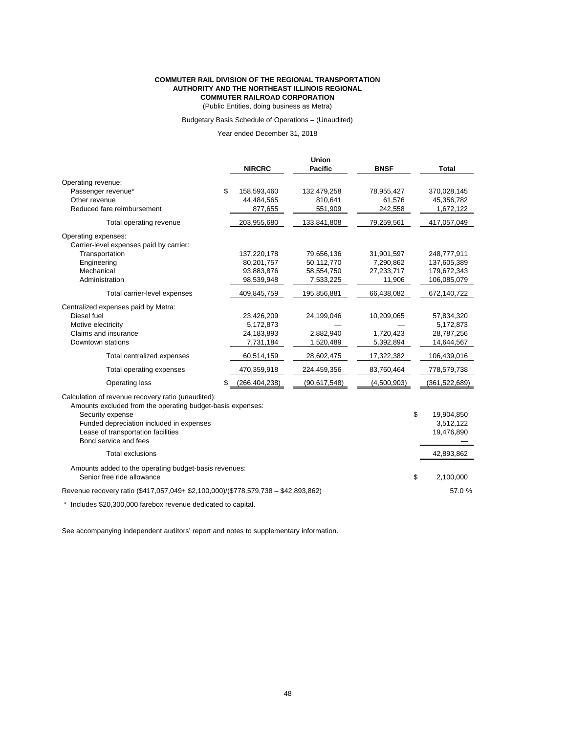(Public Entities, doing business as Metra)

Budgetary Basis Schedule of Operations – (Unaudited)

Year ended December 31, 2018

|                                                                                                                                      | <b>Union</b>      |                |             |    |                 |  |
|--------------------------------------------------------------------------------------------------------------------------------------|-------------------|----------------|-------------|----|-----------------|--|
|                                                                                                                                      | <b>NIRCRC</b>     | <b>Pacific</b> | <b>BNSF</b> |    | <b>Total</b>    |  |
| Operating revenue:                                                                                                                   |                   |                |             |    |                 |  |
| Passenger revenue*                                                                                                                   | \$<br>158,593,460 | 132,479,258    | 78,955,427  |    | 370,028,145     |  |
| Other revenue                                                                                                                        | 44,484,565        | 810,641        | 61,576      |    | 45,356,782      |  |
| Reduced fare reimbursement                                                                                                           | 877,655           | 551,909        | 242,558     |    | 1,672,122       |  |
| Total operating revenue                                                                                                              | 203,955,680       | 133,841,808    | 79,259,561  |    | 417,057,049     |  |
| Operating expenses:                                                                                                                  |                   |                |             |    |                 |  |
| Carrier-level expenses paid by carrier:                                                                                              |                   |                |             |    |                 |  |
| Transportation                                                                                                                       | 137,220,178       | 79,656,136     | 31,901,597  |    | 248,777,911     |  |
| Engineering                                                                                                                          | 80,201,757        | 50,112,770     | 7,290,862   |    | 137,605,389     |  |
| Mechanical                                                                                                                           | 93,883,876        | 58,554,750     | 27,233,717  |    | 179,672,343     |  |
| Administration                                                                                                                       | 98,539,948        | 7,533,225      | 11,906      |    | 106,085,079     |  |
| Total carrier-level expenses                                                                                                         | 409,845,759       | 195,856,881    | 66,438,082  |    | 672,140,722     |  |
| Centralized expenses paid by Metra:                                                                                                  |                   |                |             |    |                 |  |
| Diesel fuel                                                                                                                          | 23,426,209        | 24,199,046     | 10,209,065  |    | 57,834,320      |  |
| Motive electricity                                                                                                                   | 5,172,873         |                |             |    | 5,172,873       |  |
| Claims and insurance                                                                                                                 | 24,183,893        | 2,882,940      | 1,720,423   |    | 28,787,256      |  |
| Downtown stations                                                                                                                    | 7,731,184         | 1,520,489      | 5,392,894   |    | 14,644,567      |  |
| Total centralized expenses                                                                                                           | 60,514,159        | 28,602,475     | 17,322,382  |    | 106,439,016     |  |
| Total operating expenses                                                                                                             | 470,359,918       | 224,459,356    | 83,760,464  |    | 778,579,738     |  |
| Operating loss                                                                                                                       | (266, 404, 238)   | (90, 617, 548) | (4,500,903) |    | (361, 522, 689) |  |
| Calculation of revenue recovery ratio (unaudited):<br>Amounts excluded from the operating budget-basis expenses:<br>Security expense |                   |                |             | \$ | 19,904,850      |  |
| Funded depreciation included in expenses                                                                                             |                   |                |             |    | 3,512,122       |  |
| Lease of transportation facilities                                                                                                   |                   |                |             |    | 19,476,890      |  |
| Bond service and fees                                                                                                                |                   |                |             |    |                 |  |
| <b>Total exclusions</b>                                                                                                              |                   |                |             |    | 42,893,862      |  |
| Amounts added to the operating budget-basis revenues:<br>Senior free ride allowance                                                  |                   |                |             | \$ | 2,100,000       |  |
| Revenue recovery ratio (\$417,057,049+ \$2,100,000)/(\$778,579,738 - \$42,893,862)                                                   |                   |                |             |    | 57.0%           |  |
|                                                                                                                                      |                   |                |             |    |                 |  |

\* Includes \$20,300,000 farebox revenue dedicated to capital.

See accompanying independent auditors' report and notes to supplementary information.